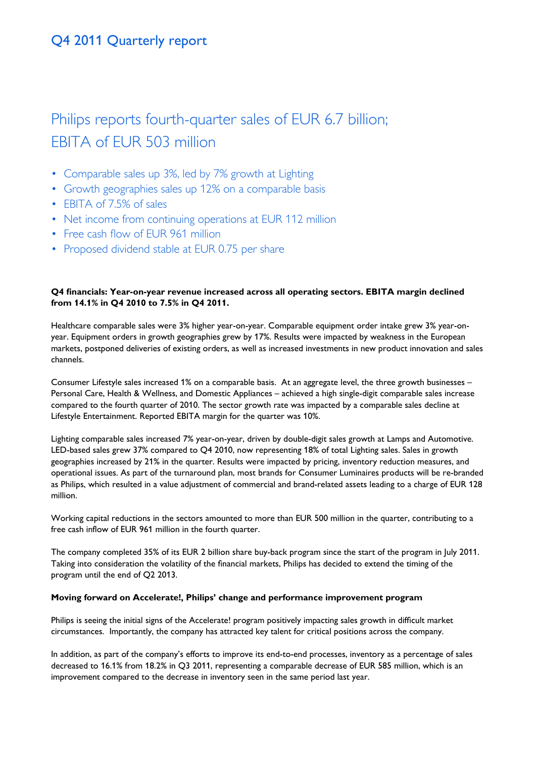# Philips reports fourth-quarter sales of EUR 6.7 billion; EBITA of EUR 503 million

- Comparable sales up 3%, led by 7% growth at Lighting
- Growth geographies sales up 12% on a comparable basis
- EBITA of 7.5% of sales
- Net income from continuing operations at EUR 112 million
- Free cash flow of EUR 961 million
- Proposed dividend stable at EUR 0.75 per share

# **Q4 financials: Year-on-year revenue increased across all operating sectors. EBITA margin declined from 14.1% in Q4 2010 to 7.5% in Q4 2011.**

Healthcare comparable sales were 3% higher year-on-year. Comparable equipment order intake grew 3% year-onyear. Equipment orders in growth geographies grew by 17%. Results were impacted by weakness in the European markets, postponed deliveries of existing orders, as well as increased investments in new product innovation and sales channels.

Consumer Lifestyle sales increased 1% on a comparable basis. At an aggregate level, the three growth businesses – Personal Care, Health & Wellness, and Domestic Appliances – achieved a high single-digit comparable sales increase compared to the fourth quarter of 2010. The sector growth rate was impacted by a comparable sales decline at Lifestyle Entertainment. Reported EBITA margin for the quarter was 10%.

Lighting comparable sales increased 7% year-on-year, driven by double-digit sales growth at Lamps and Automotive. LED-based sales grew 37% compared to Q4 2010, now representing 18% of total Lighting sales. Sales in growth geographies increased by 21% in the quarter. Results were impacted by pricing, inventory reduction measures, and operational issues. As part of the turnaround plan, most brands for Consumer Luminaires products will be re-branded as Philips, which resulted in a value adjustment of commercial and brand-related assets leading to a charge of EUR 128 million.

Working capital reductions in the sectors amounted to more than EUR 500 million in the quarter, contributing to a free cash inflow of EUR 961 million in the fourth quarter.

The company completed 35% of its EUR 2 billion share buy-back program since the start of the program in July 2011. Taking into consideration the volatility of the financial markets, Philips has decided to extend the timing of the program until the end of Q2 2013.

# **Moving forward on Accelerate!, Philips' change and performance improvement program**

Philips is seeing the initial signs of the Accelerate! program positively impacting sales growth in difficult market circumstances. Importantly, the company has attracted key talent for critical positions across the company.

In addition, as part of the company's efforts to improve its end-to-end processes, inventory as a percentage of sales decreased to 16.1% from 18.2% in Q3 2011, representing a comparable decrease of EUR 585 million, which is an improvement compared to the decrease in inventory seen in the same period last year.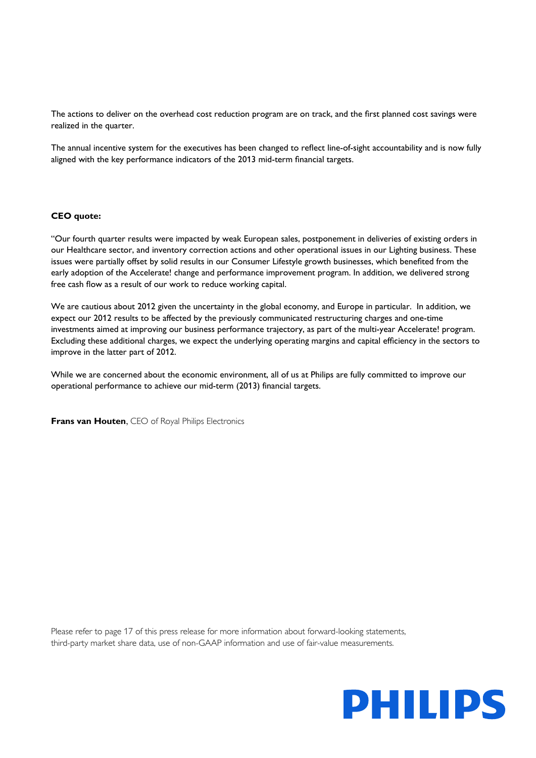The actions to deliver on the overhead cost reduction program are on track, and the first planned cost savings were realized in the quarter.

The annual incentive system for the executives has been changed to reflect line-of-sight accountability and is now fully aligned with the key performance indicators of the 2013 mid-term financial targets.

## **CEO quote:**

"Our fourth quarter results were impacted by weak European sales, postponement in deliveries of existing orders in our Healthcare sector, and inventory correction actions and other operational issues in our Lighting business. These issues were partially offset by solid results in our Consumer Lifestyle growth businesses, which benefited from the early adoption of the Accelerate! change and performance improvement program. In addition, we delivered strong free cash flow as a result of our work to reduce working capital.

We are cautious about 2012 given the uncertainty in the global economy, and Europe in particular. In addition, we expect our 2012 results to be affected by the previously communicated restructuring charges and one-time investments aimed at improving our business performance trajectory, as part of the multi-year Accelerate! program. Excluding these additional charges, we expect the underlying operating margins and capital efficiency in the sectors to improve in the latter part of 2012.

While we are concerned about the economic environment, all of us at Philips are fully committed to improve our operational performance to achieve our mid-term (2013) financial targets.

**Frans van Houten, CEO of Royal Philips Electronics** 

Please refer to page 17 of this press release for more information about forward-looking statements, third-party market share data, use of non-GAAP information and use of fair-value measurements.

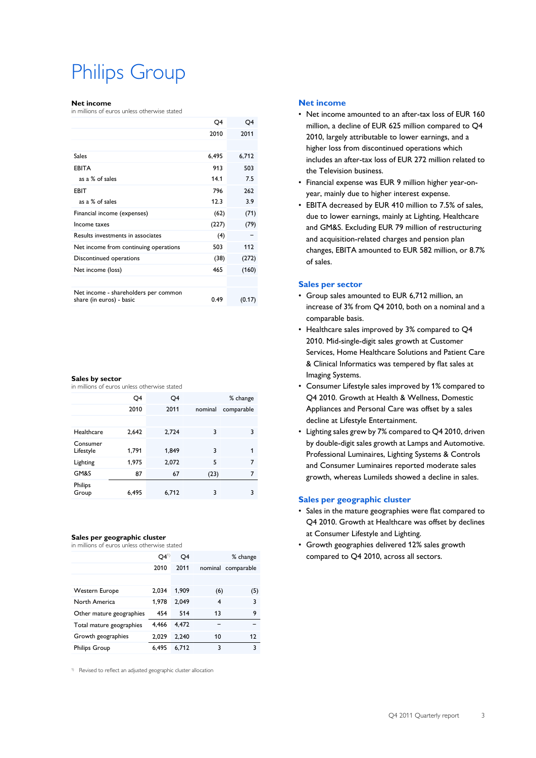# Philips Group

#### **Net income**

in millions of euros unless otherwise stated

|                                                                  | Q4    | Q4     |
|------------------------------------------------------------------|-------|--------|
|                                                                  | 2010  | 2011   |
|                                                                  |       |        |
| Sales                                                            | 6,495 | 6,712  |
| <b>EBITA</b>                                                     | 913   | 503    |
| as a % of sales                                                  | 14.1  | 7.5    |
| EBIT                                                             | 796   | 262    |
| as a % of sales                                                  | 12.3  | 3.9    |
| Financial income (expenses)                                      | (62)  | (71)   |
| Income taxes                                                     | (227) | (79)   |
| Results investments in associates                                | (4)   |        |
| Net income from continuing operations                            | 503   | 112    |
| Discontinued operations                                          | (38)  | (272)  |
| Net income (loss)                                                | 465   | (160)  |
|                                                                  |       |        |
| Net income - shareholders per common<br>share (in euros) - basic | 0.49  | (0.17) |
|                                                                  |       |        |

#### **Sales by sector**

in millions of euros unless otherwise stated

|                       | Q4    | Q4    |         | % change   |
|-----------------------|-------|-------|---------|------------|
|                       | 2010  | 2011  | nominal | comparable |
|                       |       |       |         |            |
| Healthcare            | 2,642 | 2,724 | 3       | 3          |
| Consumer<br>Lifestyle | 1,791 | 1,849 | 3       | 1          |
| Lighting              | 1,975 | 2,072 | 5       | 7          |
| GM&S                  | 87    | 67    | (23)    | 7          |
| Philips<br>Group      | 6,495 | 6,712 | 3       | 3          |

### **Sales per geographic cluster**

in millions of euros unless otherwise stated

|                          | O4 <sup>1</sup> | Q4    |     | % change           |
|--------------------------|-----------------|-------|-----|--------------------|
|                          | 2010            | 2011  |     | nominal comparable |
|                          |                 |       |     |                    |
| Western Europe           | 2.034           | 1.909 | (6) | (5)                |
| North America            | 1.978           | 2.049 | 4   | 3                  |
| Other mature geographies | 454             | 514   | 13  | 9                  |
| Total mature geographies | 4.466           | 4,472 |     |                    |
| Growth geographies       | 2.029           | 2.240 | 10  | 12                 |
| <b>Philips Group</b>     | 6.495           | 6.712 | 3   | 3                  |
|                          |                 |       |     |                    |

<sup>1)</sup> Revised to reflect an adjusted geographic cluster allocation

### **Net income**

- Net income amounted to an after-tax loss of EUR 160 million, a decline of EUR 625 million compared to Q4 2010, largely attributable to lower earnings, and a higher loss from discontinued operations which includes an after-tax loss of EUR 272 million related to the Television business.
- Financial expense was EUR 9 million higher year-onyear, mainly due to higher interest expense.
- EBITA decreased by EUR 410 million to 7.5% of sales, due to lower earnings, mainly at Lighting, Healthcare and GM&S. Excluding EUR 79 million of restructuring and acquisition-related charges and pension plan changes, EBITA amounted to EUR 582 million, or 8.7% of sales.

### **Sales per sector**

- Group sales amounted to EUR 6,712 million, an increase of 3% from Q4 2010, both on a nominal and a comparable basis.
- Healthcare sales improved by 3% compared to Q4 2010. Mid-single-digit sales growth at Customer Services, Home Healthcare Solutions and Patient Care & Clinical Informatics was tempered by flat sales at Imaging Systems.
- Consumer Lifestyle sales improved by 1% compared to Q4 2010. Growth at Health & Wellness, Domestic Appliances and Personal Care was offset by a sales decline at Lifestyle Entertainment.
- Lighting sales grew by 7% compared to Q4 2010, driven by double-digit sales growth at Lamps and Automotive. Professional Luminaires, Lighting Systems & Controls and Consumer Luminaires reported moderate sales growth, whereas Lumileds showed a decline in sales.

### **Sales per geographic cluster**

- Sales in the mature geographies were flat compared to Q4 2010. Growth at Healthcare was offset by declines at Consumer Lifestyle and Lighting.
- Growth geographies delivered 12% sales growth compared to Q4 2010, across all sectors.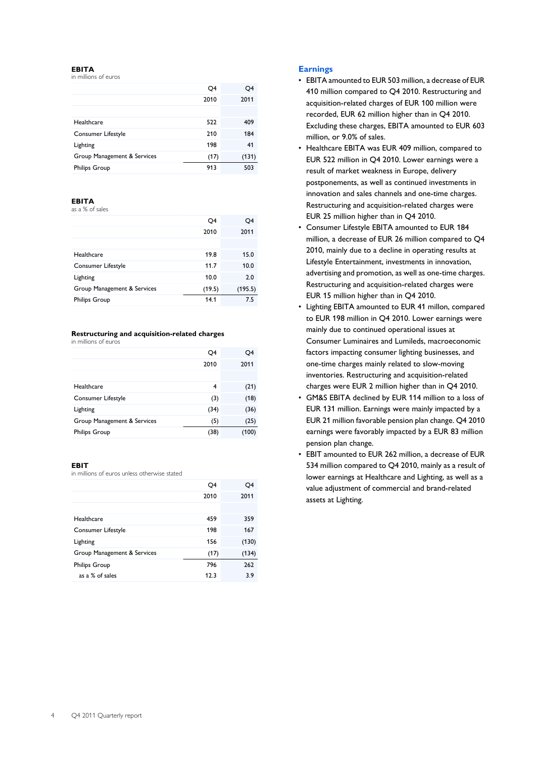### **EBITA**

in millions of euros

|                             | Q4   | O4    |
|-----------------------------|------|-------|
|                             | 2010 | 2011  |
|                             |      |       |
| Healthcare                  | 522  | 409   |
| Consumer Lifestyle          | 210  | 184   |
| Lighting                    | 198  | 41    |
| Group Management & Services | (17) | (131) |
| <b>Philips Group</b>        | 913  | 503   |

### **EBITA**

as a % of sales

|                             | Q4     | Q4      |
|-----------------------------|--------|---------|
|                             | 2010   | 2011    |
|                             |        |         |
| Healthcare                  | 19.8   | 15.0    |
| Consumer Lifestyle          | 11.7   | 10.0    |
| Lighting                    | 10.0   | 2.0     |
| Group Management & Services | (19.5) | (195.5) |
| <b>Philips Group</b>        | 14.1   | 7.5     |
|                             |        |         |

### **Restructuring and acquisition-related charges**

in millions of euros

|                             | Q4   | Q4    |
|-----------------------------|------|-------|
|                             | 2010 | 2011  |
|                             |      |       |
| Healthcare                  | 4    | (21)  |
| Consumer Lifestyle          | (3)  | (18)  |
| Lighting                    | (34) | (36)  |
| Group Management & Services | (5)  | (25)  |
| <b>Philips Group</b>        | (38) | (100) |
|                             |      |       |

### **EBIT**

in millions of euros unless otherwise stated

|                             | Q4   | Q4    |
|-----------------------------|------|-------|
|                             | 2010 | 2011  |
|                             |      |       |
| Healthcare                  | 459  | 359   |
| Consumer Lifestyle          | 198  | 167   |
| Lighting                    | 156  | (130) |
| Group Management & Services | (17) | (134) |
| <b>Philips Group</b>        | 796  | 262   |
| as a % of sales             | 12.3 | 3.9   |
|                             |      |       |

## **Earnings**

- EBITA amounted to EUR 503 million, a decrease of EUR 410 million compared to Q4 2010. Restructuring and acquisition-related charges of EUR 100 million were recorded, EUR 62 million higher than in Q4 2010. Excluding these charges, EBITA amounted to EUR 603 million, or 9.0% of sales.
- Healthcare EBITA was EUR 409 million, compared to EUR 522 million in Q4 2010. Lower earnings were a result of market weakness in Europe, delivery postponements, as well as continued investments in innovation and sales channels and one-time charges. Restructuring and acquisition-related charges were EUR 25 million higher than in Q4 2010.
- Consumer Lifestyle EBITA amounted to EUR 184 million, a decrease of EUR 26 million compared to Q4 2010, mainly due to a decline in operating results at Lifestyle Entertainment, investments in innovation, advertising and promotion, as well as one-time charges. Restructuring and acquisition-related charges were EUR 15 million higher than in Q4 2010.
- Lighting EBITA amounted to EUR 41 millon, compared to EUR 198 million in Q4 2010. Lower earnings were mainly due to continued operational issues at Consumer Luminaires and Lumileds, macroeconomic factors impacting consumer lighting businesses, and one-time charges mainly related to slow-moving inventories. Restructuring and acquisition-related charges were EUR 2 million higher than in Q4 2010.
- GM&S EBITA declined by EUR 114 million to a loss of EUR 131 million. Earnings were mainly impacted by a EUR 21 million favorable pension plan change. Q4 2010 earnings were favorably impacted by a EUR 83 million pension plan change.
- EBIT amounted to EUR 262 million, a decrease of EUR 534 million compared to Q4 2010, mainly as a result of lower earnings at Healthcare and Lighting, as well as a value adjustment of commercial and brand-related assets at Lighting.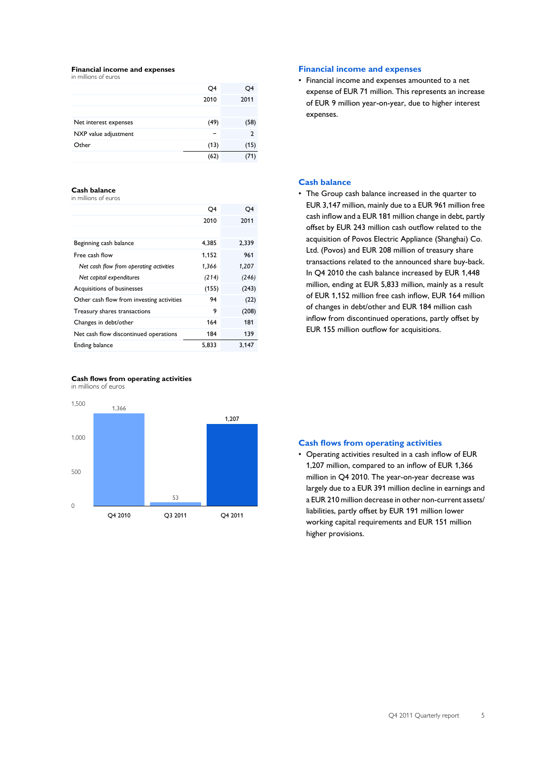#### **Financial income and expenses** in millions of euros

|                       | Q4   | Q4   |
|-----------------------|------|------|
|                       | 2010 | 2011 |
|                       |      |      |
| Net interest expenses | (49) | (58) |
| NXP value adjustment  |      | 2    |
| Other                 | (13) | (15) |
|                       | (62) |      |

### **Cash balance**

in millions of euros

| O4    | O4    |
|-------|-------|
| 2010  | 2011  |
|       |       |
| 4.385 | 2,339 |
| 1.152 | 961   |
| 1,366 | 1,207 |
| (214) | (246) |
| (155) | (243) |
| 94    | (22)  |
| 9     | (208) |
| 164   | 181   |
| 184   | 139   |
| 5.833 | 3,147 |
|       |       |





### **Financial income and expenses**

• Financial income and expenses amounted to a net expense of EUR 71 million. This represents an increase of EUR 9 million year-on-year, due to higher interest expenses.

## **Cash balance**

• The Group cash balance increased in the quarter to EUR 3,147 million, mainly due to a EUR 961 million free cash inflow and a EUR 181 million change in debt, partly offset by EUR 243 million cash outflow related to the acquisition of Povos Electric Appliance (Shanghai) Co. Ltd. (Povos) and EUR 208 million of treasury share transactions related to the announced share buy-back. In Q4 2010 the cash balance increased by EUR 1,448 million, ending at EUR 5,833 million, mainly as a result of EUR 1,152 million free cash inflow, EUR 164 million of changes in debt/other and EUR 184 million cash inflow from discontinued operations, partly offset by EUR 155 million outflow for acquisitions.

### **Cash flows from operating activities**

• Operating activities resulted in a cash inflow of EUR 1,207 million, compared to an inflow of EUR 1,366 million in Q4 2010. The year-on-year decrease was largely due to a EUR 391 million decline in earnings and a EUR 210 million decrease in other non-current assets/ liabilities, partly offset by EUR 191 million lower working capital requirements and EUR 151 million higher provisions.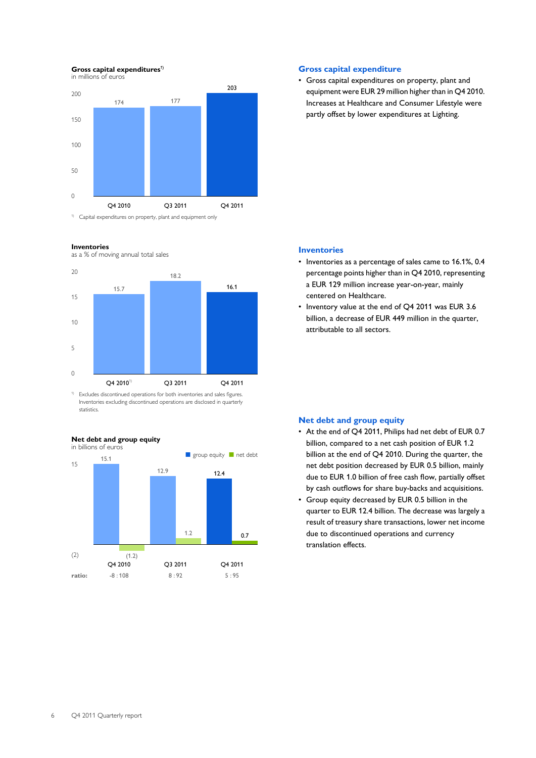## **Gross capital expenditures<sup>1)</sup>**

in millions of euros



#### **Inventories**

as a % of moving annual total sales



<sup>1)</sup> Excludes discontinued operations for both inventories and sales figures. Inventories excluding discontinued operations are disclosed in quarterly statistics.



### **Gross capital expenditure**

• Gross capital expenditures on property, plant and equipment were EUR 29 million higher than in Q4 2010. Increases at Healthcare and Consumer Lifestyle were partly offset by lower expenditures at Lighting.

### **Inventories**

- Inventories as a percentage of sales came to 16.1%, 0.4 percentage points higher than in Q4 2010, representing a EUR 129 million increase year-on-year, mainly centered on Healthcare.
- Inventory value at the end of Q4 2011 was EUR 3.6 billion, a decrease of EUR 449 million in the quarter, attributable to all sectors.

### **Net debt and group equity**

- At the end of Q4 2011, Philips had net debt of EUR 0.7 billion, compared to a net cash position of EUR 1.2 billion at the end of Q4 2010. During the quarter, the net debt position decreased by EUR 0.5 billion, mainly due to EUR 1.0 billion of free cash flow, partially offset by cash outflows for share buy-backs and acquisitions.
- Group equity decreased by EUR 0.5 billion in the quarter to EUR 12.4 billion. The decrease was largely a result of treasury share transactions, lower net income due to discontinued operations and currency translation effects.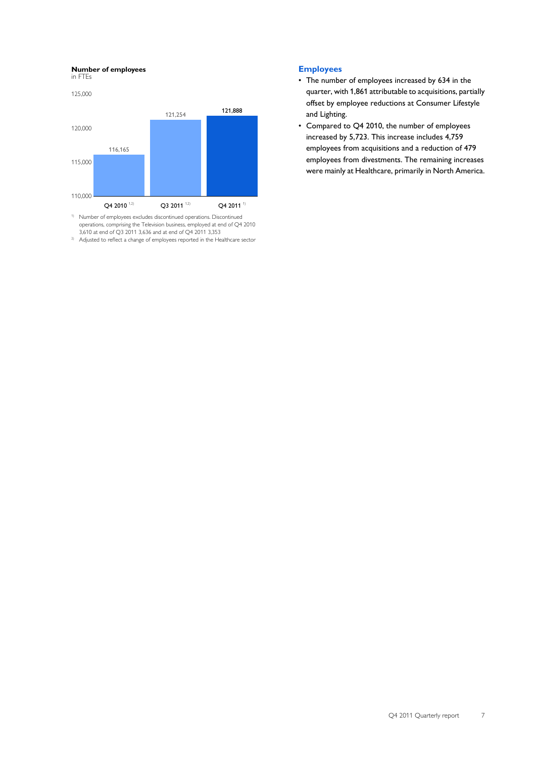### **Number of employees**

in FTEs



operations, comprising the Television business, employed at end of Q4 2010 3,610 at end of Q3 2011 3,636 and at end of Q4 2011 3,353

2) Adjusted to reflect a change of employees reported in the Healthcare sector

## **Employees**

- The number of employees increased by 634 in the quarter, with 1,861 attributable to acquisitions, partially offset by employee reductions at Consumer Lifestyle and Lighting.
- Compared to Q4 2010, the number of employees increased by 5,723. This increase includes 4,759 employees from acquisitions and a reduction of 479 employees from divestments. The remaining increases were mainly at Healthcare, primarily in North America.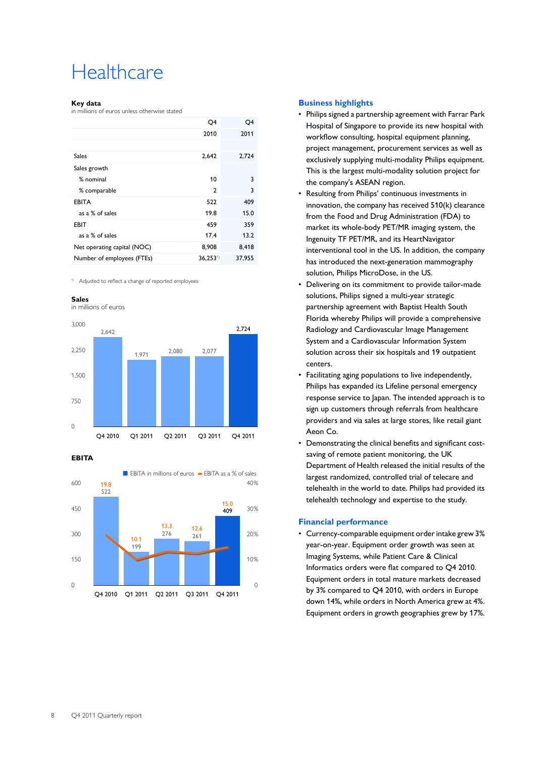# **Healthcare**

### **Key data**

in millions of euros unless otherwise stated

|                             | Q4           | Q4     |
|-----------------------------|--------------|--------|
|                             | 2010         | 2011   |
|                             |              |        |
| Sales                       | 2,642        | 2,724  |
| Sales growth                |              |        |
| % nominal                   | 10           | 3      |
| % comparable                | $\mathbf{2}$ | 3      |
| <b>EBITA</b>                | 522          | 409    |
| as a % of sales             | 19.8         | 15.0   |
| <b>EBIT</b>                 | 459          | 359    |
| as a % of sales             | 17.4         | 13.2   |
| Net operating capital (NOC) | 8,908        | 8,418  |
| Number of employees (FTEs)  | $36,253^{1}$ | 37,955 |
|                             |              |        |

1) Adjusted to reflect a change of reported employees

#### **Sales**



**EBITA**



### **Business highlights**

- Philips signed a partnership agreement with Farrar Park Hospital of Singapore to provide its new hospital with workflow consulting, hospital equipment planning, project management, procurement services as well as exclusively supplying multi-modality Philips equipment. This is the largest multi-modality solution project for the company's ASEAN region.
- Resulting from Philips' continuous investments in innovation, the company has received 510(k) clearance from the Food and Drug Administration (FDA) to market its whole-body PET/MR imaging system, the Ingenuity TF PET/MR, and its HeartNavigator interventional tool in the US. In addition, the company has introduced the next-generation mammography solution, Philips MicroDose, in the US.
- Delivering on its commitment to provide tailor-made solutions, Philips signed a multi-year strategic partnership agreement with Baptist Health South Florida whereby Philips will provide a comprehensive Radiology and Cardiovascular Image Management System and a Cardiovascular Information System solution across their six hospitals and 19 outpatient centers.
- Facilitating aging populations to live independently, Philips has expanded its Lifeline personal emergency response service to Japan. The intended approach is to sign up customers through referrals from healthcare providers and via sales at large stores, like retail giant Aeon Co.
- Demonstrating the clinical benefits and significant costsaving of remote patient monitoring, the UK Department of Health released the initial results of the largest randomized, controlled trial of telecare and telehealth in the world to date. Philips had provided its telehealth technology and expertise to the study.

### **Financial performance**

• Currency-comparable equipment order intake grew 3% year-on-year. Equipment order growth was seen at Imaging Systems, while Patient Care & Clinical Informatics orders were flat compared to Q4 2010. Equipment orders in total mature markets decreased by 3% compared to Q4 2010, with orders in Europe down 14%, while orders in North America grew at 4%. Equipment orders in growth geographies grew by 17%.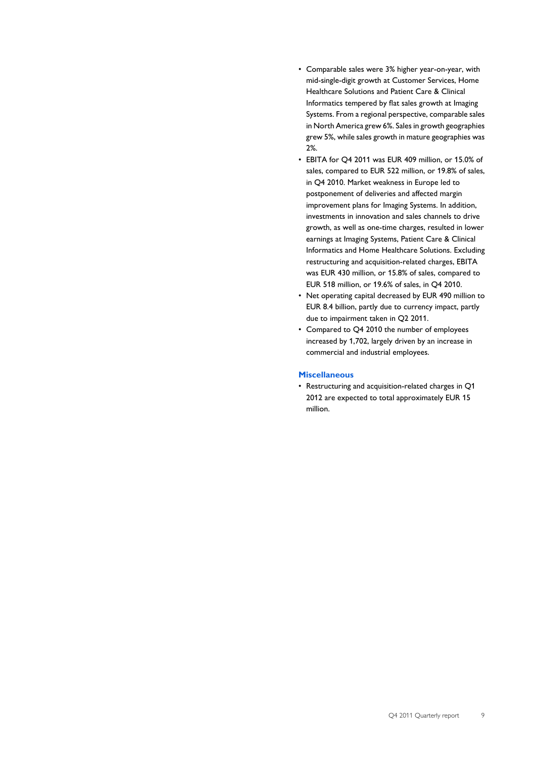- Comparable sales were 3% higher year-on-year, with mid-single-digit growth at Customer Services, Home Healthcare Solutions and Patient Care & Clinical Informatics tempered by flat sales growth at Imaging Systems. From a regional perspective, comparable sales in North America grew 6%. Sales in growth geographies grew 5%, while sales growth in mature geographies was 2%.
- EBITA for Q4 2011 was EUR 409 million, or 15.0% of sales, compared to EUR 522 million, or 19.8% of sales, in Q4 2010. Market weakness in Europe led to postponement of deliveries and affected margin improvement plans for Imaging Systems. In addition, investments in innovation and sales channels to drive growth, as well as one-time charges, resulted in lower earnings at Imaging Systems, Patient Care & Clinical Informatics and Home Healthcare Solutions. Excluding restructuring and acquisition-related charges, EBITA was EUR 430 million, or 15.8% of sales, compared to EUR 518 million, or 19.6% of sales, in Q4 2010.
- Net operating capital decreased by EUR 490 million to EUR 8.4 billion, partly due to currency impact, partly due to impairment taken in Q2 2011.
- Compared to Q4 2010 the number of employees increased by 1,702, largely driven by an increase in commercial and industrial employees.

## **Miscellaneous**

• Restructuring and acquisition-related charges in Q1 2012 are expected to total approximately EUR 15 million.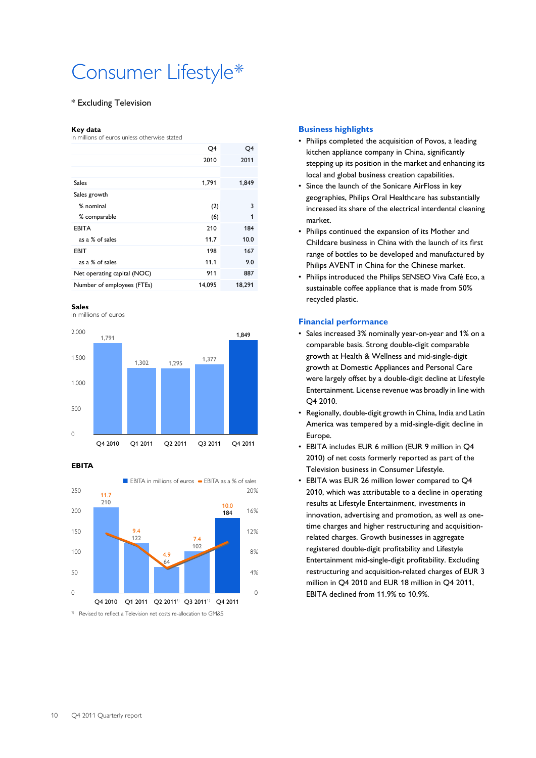# Consumer Lifestyle\*

### \* Excluding Television

#### **Key data**

in millions of euros unless otherwise stated

| O4     | O4     |
|--------|--------|
| 2010   | 2011   |
|        |        |
| 1,791  | 1,849  |
|        |        |
| (2)    | 3      |
| (6)    | 1      |
| 210    | 184    |
| 11.7   | 10.0   |
| 198    | 167    |
| 11.1   | 9.0    |
| 911    | 887    |
| 14,095 | 18,291 |
|        |        |

#### **Sales**

in millions of euros



### **EBITA**



### **Business highlights**

- Philips completed the acquisition of Povos, a leading kitchen appliance company in China, significantly stepping up its position in the market and enhancing its local and global business creation capabilities.
- Since the launch of the Sonicare AirFloss in key geographies, Philips Oral Healthcare has substantially increased its share of the electrical interdental cleaning market.
- Philips continued the expansion of its Mother and Childcare business in China with the launch of its first range of bottles to be developed and manufactured by Philips AVENT in China for the Chinese market.
- Philips introduced the Philips SENSEO Viva Café Eco, a sustainable coffee appliance that is made from 50% recycled plastic.

### **Financial performance**

- Sales increased 3% nominally year-on-year and 1% on a comparable basis. Strong double-digit comparable growth at Health & Wellness and mid-single-digit growth at Domestic Appliances and Personal Care were largely offset by a double-digit decline at Lifestyle Entertainment. License revenue was broadly in line with Q4 2010.
- Regionally, double-digit growth in China, India and Latin America was tempered by a mid-single-digit decline in Europe.
- EBITA includes EUR 6 million (EUR 9 million in Q4 2010) of net costs formerly reported as part of the Television business in Consumer Lifestyle.
- EBITA was EUR 26 million lower compared to Q4 2010, which was attributable to a decline in operating results at Lifestyle Entertainment, investments in innovation, advertising and promotion, as well as onetime charges and higher restructuring and acquisitionrelated charges. Growth businesses in aggregate registered double-digit profitability and Lifestyle Entertainment mid-single-digit profitability. Excluding restructuring and acquisition-related charges of EUR 3 million in Q4 2010 and EUR 18 million in Q4 2011, EBITA declined from 11.9% to 10.9%.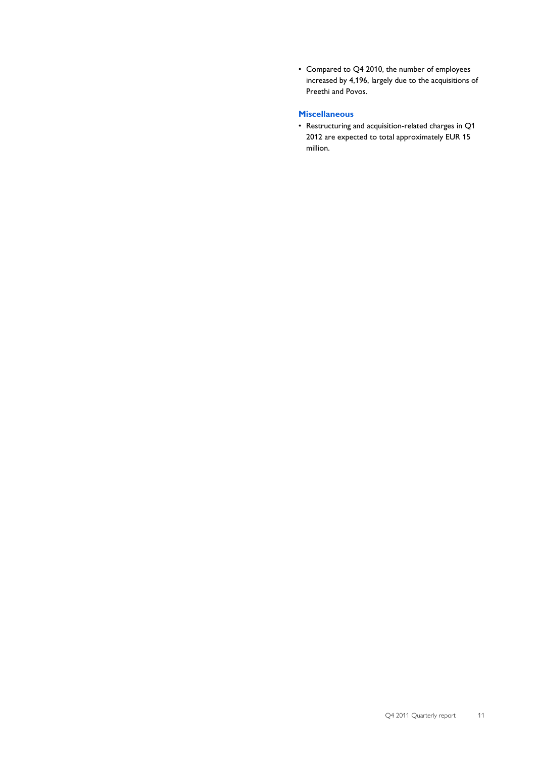• Compared to Q4 2010, the number of employees increased by 4,196, largely due to the acquisitions of Preethi and Povos.

# **Miscellaneous**

• Restructuring and acquisition-related charges in Q1 2012 are expected to total approximately EUR 15 million.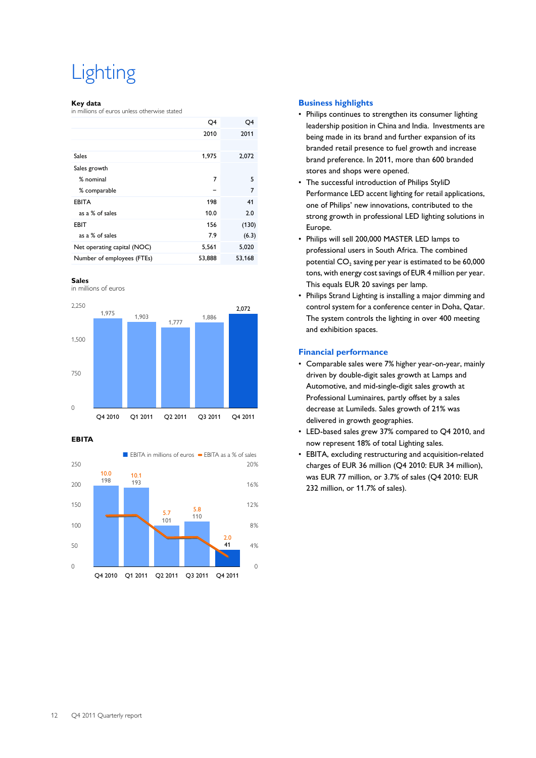# Lighting

### **Key data**

in millions of euros unless otherwise stated

|                             | Q4     | Q4     |
|-----------------------------|--------|--------|
|                             | 2010   | 2011   |
|                             |        |        |
| <b>Sales</b>                | 1,975  | 2,072  |
| Sales growth                |        |        |
| % nominal                   | 7      | 5      |
| % comparable                |        | 7      |
| <b>EBITA</b>                | 198    | 41     |
| as a % of sales             | 10.0   | 2.0    |
| <b>EBIT</b>                 | 156    | (130)  |
| as a % of sales             | 7.9    | (6.3)  |
| Net operating capital (NOC) | 5,561  | 5,020  |
| Number of employees (FTEs)  | 53,888 | 53,168 |
|                             |        |        |



in millions of euros



**EBITA**



### **Business highlights**

- Philips continues to strengthen its consumer lighting leadership position in China and India. Investments are being made in its brand and further expansion of its branded retail presence to fuel growth and increase brand preference. In 2011, more than 600 branded stores and shops were opened.
- The successful introduction of Philips StyliD Performance LED accent lighting for retail applications, one of Philips' new innovations, contributed to the strong growth in professional LED lighting solutions in Europe.
- Philips will sell 200,000 MASTER LED lamps to professional users in South Africa. The combined potential CO $_{\rm 2}$  saving per year is estimated to be 60,000  $\,$ tons, with energy cost savings of EUR 4 million per year. This equals EUR 20 savings per lamp.
- Philips Strand Lighting is installing a major dimming and control system for a conference center in Doha, Qatar. The system controls the lighting in over 400 meeting and exhibition spaces.

## **Financial performance**

- Comparable sales were 7% higher year-on-year, mainly driven by double-digit sales growth at Lamps and Automotive, and mid-single-digit sales growth at Professional Luminaires, partly offset by a sales decrease at Lumileds. Sales growth of 21% was delivered in growth geographies.
- LED-based sales grew 37% compared to Q4 2010, and now represent 18% of total Lighting sales.
- EBITA, excluding restructuring and acquisition-related charges of EUR 36 million (Q4 2010: EUR 34 million), was EUR 77 million, or 3.7% of sales (Q4 2010: EUR 232 million, or 11.7% of sales).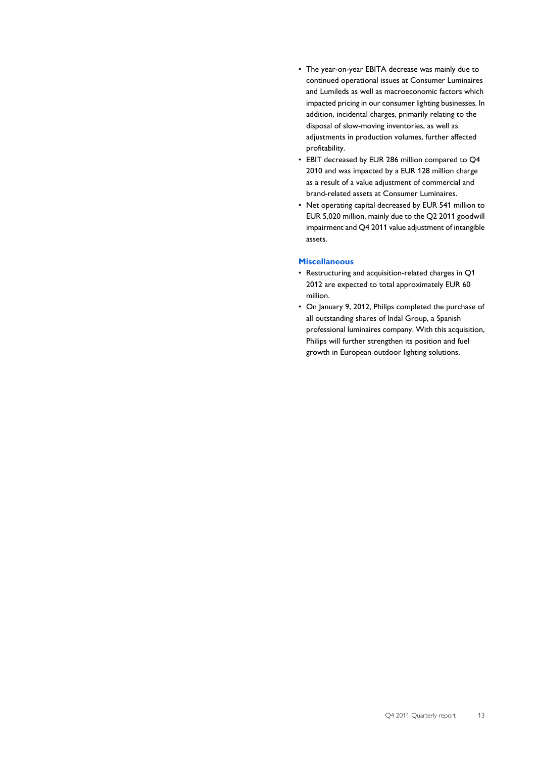- The year-on-year EBITA decrease was mainly due to continued operational issues at Consumer Luminaires and Lumileds as well as macroeconomic factors which impacted pricing in our consumer lighting businesses. In addition, incidental charges, primarily relating to the disposal of slow-moving inventories, as well as adjustments in production volumes, further affected profitability.
- EBIT decreased by EUR 286 million compared to Q4 2010 and was impacted by a EUR 128 million charge as a result of a value adjustment of commercial and brand-related assets at Consumer Luminaires.
- Net operating capital decreased by EUR 541 million to EUR 5,020 million, mainly due to the Q2 2011 goodwill impairment and Q4 2011 value adjustment of intangible assets.

### **Miscellaneous**

- Restructuring and acquisition-related charges in Q1 2012 are expected to total approximately EUR 60 million.
- On January 9, 2012, Philips completed the purchase of all outstanding shares of Indal Group, a Spanish professional luminaires company. With this acquisition, Philips will further strengthen its position and fuel growth in European outdoor lighting solutions.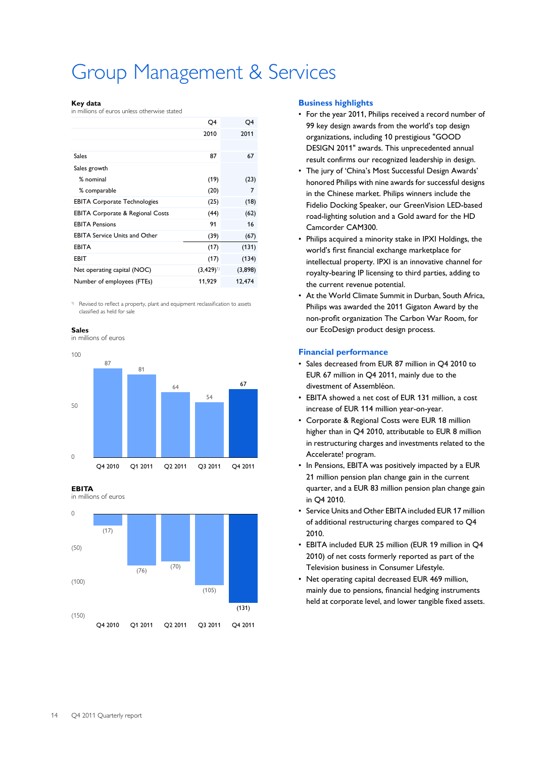# Group Management & Services

#### **Key data**

in millions of euros unless otherwise stated

|                                             | Q4            | Q4      |
|---------------------------------------------|---------------|---------|
|                                             | 2010          | 2011    |
|                                             |               |         |
| Sales                                       | 87            | 67      |
| Sales growth                                |               |         |
| % nominal                                   | (19)          | (23)    |
| % comparable                                | (20)          | 7       |
| <b>EBITA Corporate Technologies</b>         | (25)          | (18)    |
| <b>EBITA Corporate &amp; Regional Costs</b> | (44)          | (62)    |
| <b>EBITA Pensions</b>                       | 91            | 16      |
| <b>EBITA Service Units and Other</b>        | (39)          | (67)    |
| <b>EBITA</b>                                | (17)          | (131)   |
| EBIT                                        | (17)          | (134)   |
| Net operating capital (NOC)                 | $(3,429)^{1}$ | (3,898) |
| Number of employees (FTEs)                  | 11.929        | 12,474  |

1) Revised to reflect a property, plant and equipment reclassification to assets classified as held for sale

### **Sales**

in millions of euros



**EBITA**





### **Business highlights**

- For the year 2011, Philips received a record number of 99 key design awards from the world's top design organizations, including 10 prestigious "GOOD DESIGN 2011" awards. This unprecedented annual result confirms our recognized leadership in design.
- The jury of 'China's Most Successful Design Awards' honored Philips with nine awards for successful designs in the Chinese market. Philips winners include the Fidelio Docking Speaker, our GreenVision LED-based road-lighting solution and a Gold award for the HD Camcorder CAM300.
- Philips acquired a minority stake in IPXI Holdings, the world's first financial exchange marketplace for intellectual property. IPXI is an innovative channel for royalty-bearing IP licensing to third parties, adding to the current revenue potential.
- At the World Climate Summit in Durban, South Africa, Philips was awarded the 2011 Gigaton Award by the non-profit organization The Carbon War Room, for our EcoDesign product design process.

### **Financial performance**

- Sales decreased from EUR 87 million in Q4 2010 to EUR 67 million in Q4 2011, mainly due to the divestment of Assembléon.
- EBITA showed a net cost of EUR 131 million, a cost increase of EUR 114 million year-on-year.
- Corporate & Regional Costs were EUR 18 million higher than in Q4 2010, attributable to EUR 8 million in restructuring charges and investments related to the Accelerate! program.
- In Pensions, EBITA was positively impacted by a EUR 21 million pension plan change gain in the current quarter, and a EUR 83 million pension plan change gain in Q4 2010.
- Service Units and Other EBITA included EUR 17 million of additional restructuring charges compared to Q4 2010.
- EBITA included EUR 25 million (EUR 19 million in Q4 2010) of net costs formerly reported as part of the Television business in Consumer Lifestyle.
- Net operating capital decreased EUR 469 million, mainly due to pensions, financial hedging instruments held at corporate level, and lower tangible fixed assets.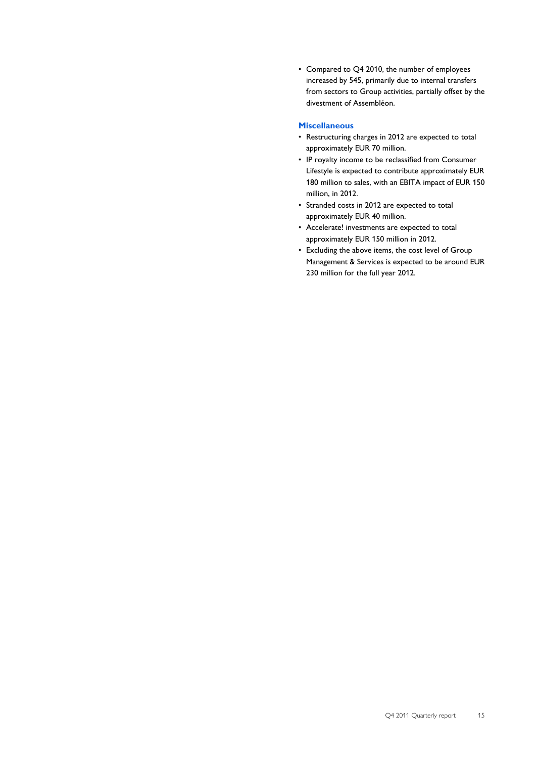• Compared to Q4 2010, the number of employees increased by 545, primarily due to internal transfers from sectors to Group activities, partially offset by the divestment of Assembléon.

# **Miscellaneous**

- Restructuring charges in 2012 are expected to total approximately EUR 70 million.
- IP royalty income to be reclassified from Consumer Lifestyle is expected to contribute approximately EUR 180 million to sales, with an EBITA impact of EUR 150 million, in 2012.
- Stranded costs in 2012 are expected to total approximately EUR 40 million.
- Accelerate! investments are expected to total approximately EUR 150 million in 2012.
- Excluding the above items, the cost level of Group Management & Services is expected to be around EUR 230 million for the full year 2012.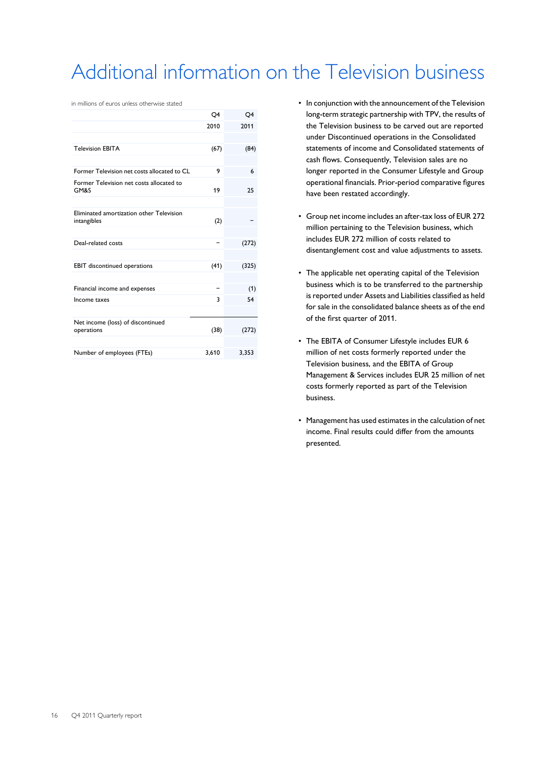# Additional information on the Television business

in millions of euros unless otherwise stated

|                                                         | Q4    | Q4    |
|---------------------------------------------------------|-------|-------|
|                                                         | 2010  | 2011  |
|                                                         |       |       |
| <b>Television EBITA</b>                                 | (67)  | (84)  |
|                                                         |       |       |
| Former Television net costs allocated to CL             | 9     | 6     |
| Former Television net costs allocated to<br>GM&S        | 19    | 25    |
|                                                         |       |       |
| Eliminated amortization other Television<br>intangibles | (2)   |       |
|                                                         |       |       |
| Deal-related costs                                      |       | (272) |
|                                                         |       |       |
| <b>EBIT</b> discontinued operations                     | (41)  | (325) |
|                                                         |       |       |
| Financial income and expenses                           |       | (1)   |
| Income taxes                                            | 3     | 54    |
|                                                         |       |       |
| Net income (loss) of discontinued<br>operations         | (38)  | (272) |
|                                                         |       |       |
| Number of employees (FTEs)                              | 3,610 | 3,353 |

- In conjunction with the announcement of the Television long-term strategic partnership with TPV, the results of the Television business to be carved out are reported under Discontinued operations in the Consolidated statements of income and Consolidated statements of cash flows. Consequently, Television sales are no longer reported in the Consumer Lifestyle and Group operational financials. Prior-period comparative figures have been restated accordingly.
- Group net income includes an after-tax loss of EUR 272 million pertaining to the Television business, which includes EUR 272 million of costs related to disentanglement cost and value adjustments to assets.
- The applicable net operating capital of the Television business which is to be transferred to the partnership isreported under Assets and Liabilities classified as held for sale in the consolidated balance sheets as of the end of the first quarter of 2011.
- The EBITA of Consumer Lifestyle includes EUR 6 million of net costs formerly reported under the Television business, and the EBITA of Group Management & Services includes EUR 25 million of net costs formerly reported as part of the Television business.
- Management has used estimates in the calculation of net income. Final results could differ from the amounts presented.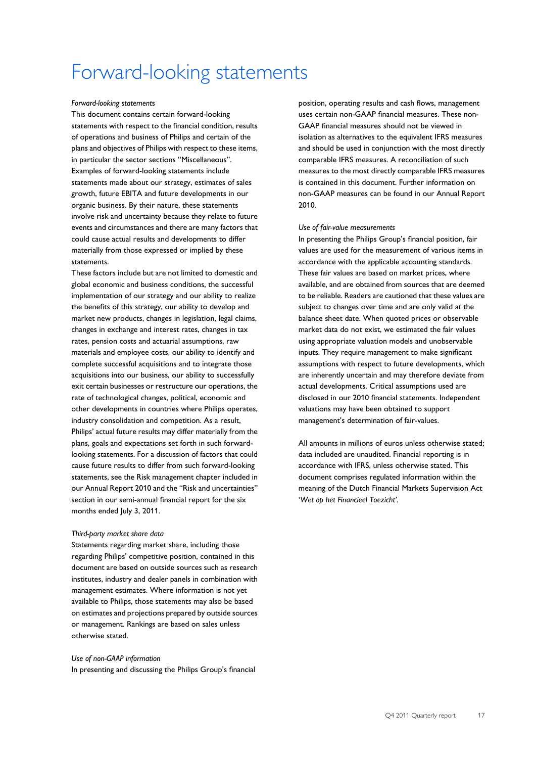# Forward-looking statements

### *Forward-looking statement*s

This document contains certain forward-looking statements with respect to the financial condition, results of operations and business of Philips and certain of the plans and objectives of Philips with respect to these items, in particular the sector sections "Miscellaneous". Examples of forward-looking statements include statements made about our strategy, estimates of sales growth, future EBITA and future developments in our organic business. By their nature, these statements involve risk and uncertainty because they relate to future events and circumstances and there are many factors that could cause actual results and developments to differ materially from those expressed or implied by these statements.

These factors include but are not limited to domestic and global economic and business conditions, the successful implementation of our strategy and our ability to realize the benefits of this strategy, our ability to develop and market new products, changes in legislation, legal claims, changes in exchange and interest rates, changes in tax rates, pension costs and actuarial assumptions, raw materials and employee costs, our ability to identify and complete successful acquisitions and to integrate those acquisitions into our business, our ability to successfully exit certain businesses or restructure our operations, the rate of technological changes, political, economic and other developments in countries where Philips operates, industry consolidation and competition. As a result, Philips' actual future results may differ materially from the plans, goals and expectations set forth in such forwardlooking statements. For a discussion of factors that could cause future results to differ from such forward-looking statements, see the Risk management chapter included in our Annual Report 2010 and the "Risk and uncertainties" section in our semi-annual financial report for the six months ended July 3, 2011.

### *Third-party market share data*

Statements regarding market share, including those regarding Philips' competitive position, contained in this document are based on outside sources such as research institutes, industry and dealer panels in combination with management estimates. Where information is not yet available to Philips, those statements may also be based on estimates and projections prepared by outside sources or management. Rankings are based on sales unless otherwise stated.

### *Use of non-GAAP information*

In presenting and discussing the Philips Group's financial

position, operating results and cash flows, management uses certain non-GAAP financial measures. These non-GAAP financial measures should not be viewed in isolation as alternatives to the equivalent IFRS measures and should be used in conjunction with the most directly comparable IFRS measures. A reconciliation of such measures to the most directly comparable IFRS measures is contained in this document. Further information on non-GAAP measures can be found in our Annual Report 2010.

#### *Use of fair-value measurements*

In presenting the Philips Group's financial position, fair values are used for the measurement of various items in accordance with the applicable accounting standards. These fair values are based on market prices, where available, and are obtained from sources that are deemed to be reliable. Readers are cautioned that these values are subject to changes over time and are only valid at the balance sheet date. When quoted prices or observable market data do not exist, we estimated the fair values using appropriate valuation models and unobservable inputs. They require management to make significant assumptions with respect to future developments, which are inherently uncertain and may therefore deviate from actual developments. Critical assumptions used are disclosed in our 2010 financial statements. Independent valuations may have been obtained to support management's determination of fair-values.

All amounts in millions of euros unless otherwise stated; data included are unaudited. Financial reporting is in accordance with IFRS, unless otherwise stated. This document comprises regulated information within the meaning of the Dutch Financial Markets Supervision Act '*Wet op het Financieel Toezicht'.*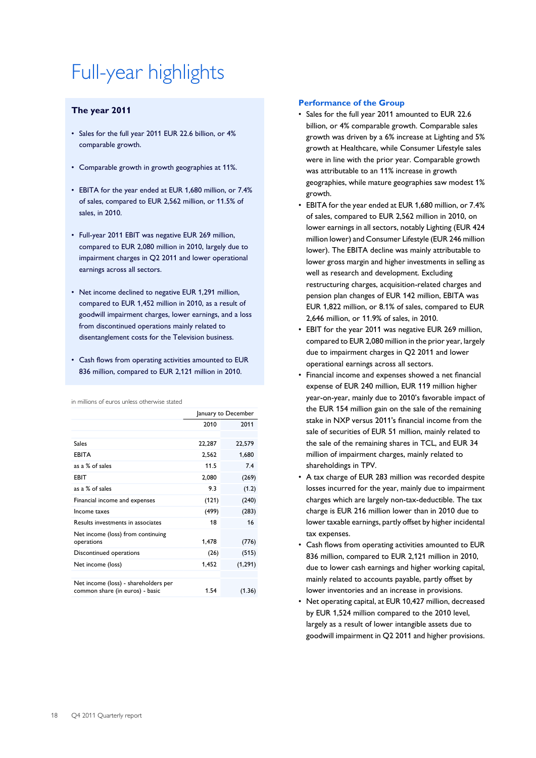# Full-year highlights

# **The year 2011**

- Sales for the full year 2011 EUR 22.6 billion, or 4% comparable growth.
- Comparable growth in growth geographies at 11%.
- EBITA for the year ended at EUR 1,680 million, or 7.4% of sales, compared to EUR 2,562 million, or 11.5% of sales, in 2010.
- Full-year 2011 EBIT was negative EUR 269 million, compared to EUR 2,080 million in 2010, largely due to impairment charges in Q2 2011 and lower operational earnings across all sectors.
- Net income declined to negative EUR 1,291 million, compared to EUR 1,452 million in 2010, as a result of goodwill impairment charges, lower earnings, and a loss from discontinued operations mainly related to disentanglement costs for the Television business.
- Cash flows from operating activities amounted to EUR 836 million, compared to EUR 2,121 million in 2010.

in millions of euros unless otherwise stated

|                                                                         | January to December |          |  |
|-------------------------------------------------------------------------|---------------------|----------|--|
|                                                                         | 2010                | 2011     |  |
|                                                                         |                     |          |  |
| Sales                                                                   | 22,287              | 22,579   |  |
| <b>EBITA</b>                                                            | 2,562               | 1,680    |  |
| as a % of sales                                                         | 11.5                | 7.4      |  |
| EBIT                                                                    | 2,080               | (269)    |  |
| as a % of sales                                                         | 9.3                 | (1.2)    |  |
| Financial income and expenses                                           | (121)               | (240)    |  |
| Income taxes                                                            | (499)               | (283)    |  |
| Results investments in associates                                       | 18                  | 16       |  |
| Net income (loss) from continuing                                       |                     |          |  |
| operations                                                              | 1,478               | (776)    |  |
| Discontinued operations                                                 | (26)                | (515)    |  |
| Net income (loss)                                                       | 1,452               | (1, 291) |  |
|                                                                         |                     |          |  |
| Net income (loss) - shareholders per<br>common share (in euros) - basic | 1.54                | (1.36)   |  |

### **Performance of the Group**

- Sales for the full year 2011 amounted to EUR 22.6 billion, or 4% comparable growth. Comparable sales growth was driven by a 6% increase at Lighting and 5% growth at Healthcare, while Consumer Lifestyle sales were in line with the prior year. Comparable growth was attributable to an 11% increase in growth geographies, while mature geographies saw modest 1% growth.
- EBITA for the year ended at EUR 1,680 million, or 7.4% of sales, compared to EUR 2,562 million in 2010, on lower earnings in all sectors, notably Lighting (EUR 424 million lower) and Consumer Lifestyle (EUR 246 million lower). The EBITA decline was mainly attributable to lower gross margin and higher investments in selling as well as research and development. Excluding restructuring charges, acquisition-related charges and pension plan changes of EUR 142 million, EBITA was EUR 1,822 million, or 8.1% of sales, compared to EUR 2,646 million, or 11.9% of sales, in 2010.
- EBIT for the year 2011 was negative EUR 269 million, compared to EUR 2,080 million in the prior year, largely due to impairment charges in Q2 2011 and lower operational earnings across all sectors.
- Financial income and expenses showed a net financial expense of EUR 240 million, EUR 119 million higher year-on-year, mainly due to 2010's favorable impact of the EUR 154 million gain on the sale of the remaining stake in NXP versus 2011's financial income from the sale of securities of EUR 51 million, mainly related to the sale of the remaining shares in TCL, and EUR 34 million of impairment charges, mainly related to shareholdings in TPV.
- A tax charge of EUR 283 million was recorded despite losses incurred for the year, mainly due to impairment charges which are largely non-tax-deductible. The tax charge is EUR 216 million lower than in 2010 due to lower taxable earnings, partly offset by higher incidental tax expenses.
- Cash flows from operating activities amounted to EUR 836 million, compared to EUR 2,121 million in 2010, due to lower cash earnings and higher working capital, mainly related to accounts payable, partly offset by lower inventories and an increase in provisions.
- Net operating capital, at EUR 10,427 million, decreased by EUR 1,524 million compared to the 2010 level, largely as a result of lower intangible assets due to goodwill impairment in Q2 2011 and higher provisions.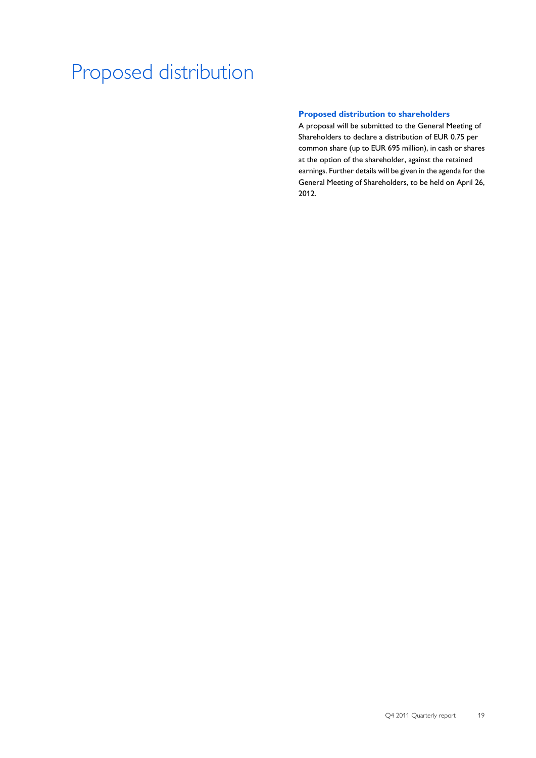# Proposed distribution

## **Proposed distribution to shareholders**

A proposal will be submitted to the General Meeting of Shareholders to declare a distribution of EUR 0.75 per common share (up to EUR 695 million), in cash or shares at the option of the shareholder, against the retained earnings. Further details will be given in the agenda for the General Meeting of Shareholders, to be held on April 26, 2012.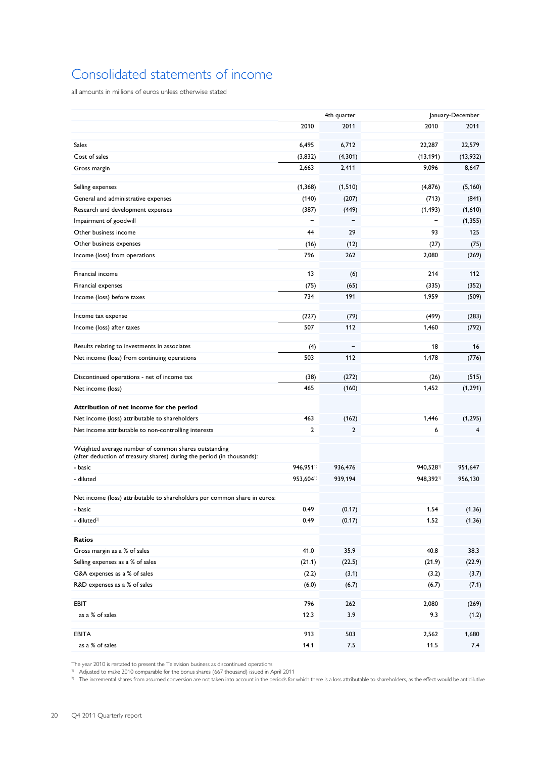# Consolidated statements of income

all amounts in millions of euros unless otherwise stated

|                                                                                                                                |           | 4th quarter |                       | January-December |  |  |
|--------------------------------------------------------------------------------------------------------------------------------|-----------|-------------|-----------------------|------------------|--|--|
|                                                                                                                                | 2010      | 2011        | 2010                  | 2011             |  |  |
| <b>Sales</b>                                                                                                                   | 6,495     | 6,712       | 22,287                | 22,579           |  |  |
| Cost of sales                                                                                                                  | (3,832)   | (4,301)     | (13, 191)             | (13,932)         |  |  |
| Gross margin                                                                                                                   | 2,663     | 2,411       | 9,096                 | 8,647            |  |  |
|                                                                                                                                |           |             |                       |                  |  |  |
| Selling expenses                                                                                                               | (1,368)   | (1, 510)    | (4, 876)              | (5, 160)         |  |  |
| General and administrative expenses                                                                                            | (140)     | (207)       | (713)                 | (841)            |  |  |
| Research and development expenses                                                                                              | (387)     | (449)       | (1, 493)              | (1,610)          |  |  |
| Impairment of goodwill                                                                                                         |           |             |                       | (1, 355)         |  |  |
| Other business income                                                                                                          | 44        | 29          | 93                    | 125              |  |  |
| Other business expenses                                                                                                        | (16)      | (12)        | (27)                  | (75)             |  |  |
| Income (loss) from operations                                                                                                  | 796       | 262         | 2,080                 | (269)            |  |  |
| Financial income                                                                                                               | 13        | (6)         | 214                   | 112              |  |  |
| Financial expenses                                                                                                             | (75)      | (65)        | (335)                 | (352)            |  |  |
| Income (loss) before taxes                                                                                                     | 734       | 191         | 1,959                 | (509)            |  |  |
|                                                                                                                                |           |             |                       |                  |  |  |
| Income tax expense                                                                                                             | (227)     | (79)        | (499)                 | (283)            |  |  |
| Income (loss) after taxes                                                                                                      | 507       | 112         | 1,460                 | (792)            |  |  |
| Results relating to investments in associates                                                                                  | (4)       |             | 18                    | 16               |  |  |
| Net income (loss) from continuing operations                                                                                   | 503       | 112         | 1,478                 | (776)            |  |  |
|                                                                                                                                |           |             |                       |                  |  |  |
| Discontinued operations - net of income tax                                                                                    | (38)      | (272)       | (26)                  | (515)            |  |  |
| Net income (loss)                                                                                                              | 465       | (160)       | 1,452                 | (1, 291)         |  |  |
| Attribution of net income for the period                                                                                       |           |             |                       |                  |  |  |
| Net income (loss) attributable to shareholders                                                                                 | 463       | (162)       | 1,446                 | (1, 295)         |  |  |
| Net income attributable to non-controlling interests                                                                           | 2         | 2           | 6                     | 4                |  |  |
| Weighted average number of common shares outstanding<br>(after deduction of treasury shares) during the period (in thousands): |           |             |                       |                  |  |  |
| - basic                                                                                                                        | 946,9511) | 936,476     | 940,528 <sup>1)</sup> | 951,647          |  |  |
| - diluted                                                                                                                      | 953,6041) | 939,194     | 948,3921)             | 956,130          |  |  |
| Net income (loss) attributable to shareholders per common share in euros:                                                      |           |             |                       |                  |  |  |
| - basic                                                                                                                        | 0.49      | (0.17)      | 1.54                  | (1.36)           |  |  |
| - diluted <sup>2)</sup>                                                                                                        | 0.49      | (0.17)      | 1.52                  | (1.36)           |  |  |
|                                                                                                                                |           |             |                       |                  |  |  |
| <b>Ratios</b>                                                                                                                  |           |             |                       |                  |  |  |
| Gross margin as a % of sales                                                                                                   | 41.0      | 35.9        | 40.8                  | 38.3             |  |  |
| Selling expenses as a % of sales                                                                                               | (21.1)    | (22.5)      | (21.9)                | (22.9)           |  |  |
| G&A expenses as a % of sales                                                                                                   | (2.2)     | (3.1)       | (3.2)                 | (3.7)            |  |  |
| R&D expenses as a % of sales                                                                                                   | (6.0)     | (6.7)       | (6.7)                 | (7.1)            |  |  |
| EBIT                                                                                                                           | 796       | 262         | 2,080                 | (269)            |  |  |
| as a % of sales                                                                                                                | 12.3      | 3.9         | 9.3                   | (1.2)            |  |  |
|                                                                                                                                |           |             |                       |                  |  |  |
| <b>EBITA</b>                                                                                                                   | 913       | 503         | 2,562                 | 1,680            |  |  |
| as a % of sales                                                                                                                | 14.1      | 7.5         | 11.5                  | $7.4$            |  |  |

The year 2010 is restated to present the Television business as discontinued operations

1) Adjusted to make 2010 comparable for the bonus shares (667 thousand) issued in April 2011

<sup>2)</sup> The incremental shares from assumed conversion are not taken into account in the periods for which there is a loss attributable to shareholders, as the effect would be antidilutive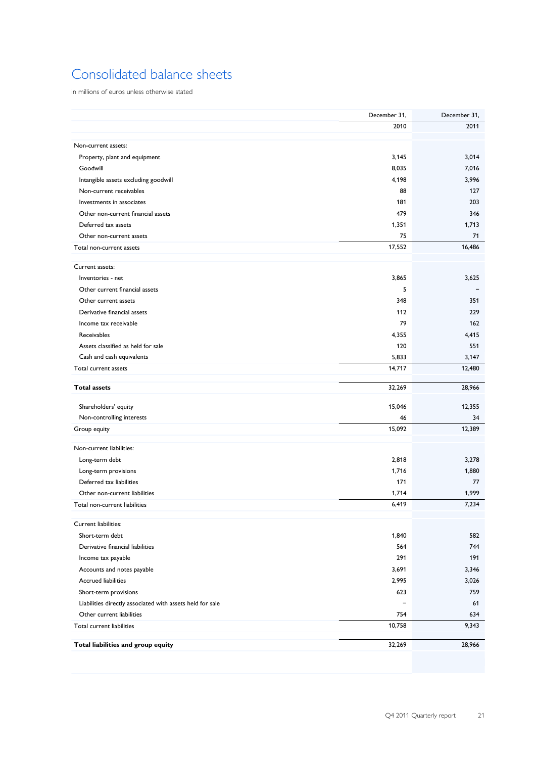# Consolidated balance sheets

in millions of euros unless otherwise stated

|                                                           | December 31, | December 31, |
|-----------------------------------------------------------|--------------|--------------|
|                                                           | 2010         | 2011         |
|                                                           |              |              |
| Non-current assets:                                       |              |              |
| Property, plant and equipment                             | 3,145        | 3,014        |
| Goodwill                                                  | 8,035        | 7,016        |
| Intangible assets excluding goodwill                      | 4,198        | 3,996        |
| Non-current receivables                                   | 88           | 127          |
| Investments in associates                                 | 181          | 203          |
| Other non-current financial assets                        | 479          | 346          |
| Deferred tax assets                                       | 1,351        | 1,713        |
| Other non-current assets                                  | 75           | 71           |
| Total non-current assets                                  | 17,552       | 16,486       |
| Current assets:                                           |              |              |
| Inventories - net                                         | 3,865        | 3,625        |
| Other current financial assets                            | 5            |              |
| Other current assets                                      | 348          | 351          |
| Derivative financial assets                               | 112          | 229          |
| Income tax receivable                                     | 79           | 162          |
| Receivables                                               | 4,355        | 4,415        |
| Assets classified as held for sale                        | 120          | 551          |
| Cash and cash equivalents                                 | 5,833        | 3,147        |
| Total current assets                                      | 14,717       | 12,480       |
|                                                           |              |              |
| <b>Total assets</b>                                       | 32,269       | 28,966       |
| Shareholders' equity                                      | 15,046       | 12,355       |
| Non-controlling interests                                 | 46           | 34           |
| Group equity                                              | 15,092       | 12,389       |
|                                                           |              |              |
| Non-current liabilities:                                  |              |              |
| Long-term debt                                            | 2,818        | 3,278        |
| Long-term provisions                                      | 1,716        | 1,880        |
| Deferred tax liabilities                                  | 171          | 77           |
| Other non-current liabilities                             | 1,714        | 1,999        |
| Total non-current liabilities                             | 6,419        | 7,234        |
| Current liabilities:                                      |              |              |
| Short-term debt                                           | 1,840        | 582          |
| Derivative financial liabilities                          | 564          | 744          |
| Income tax payable                                        | 291          | 191          |
| Accounts and notes payable                                | 3,691        | 3,346        |
| <b>Accrued liabilities</b>                                | 2,995        | 3,026        |
| Short-term provisions                                     | 623          | 759          |
| Liabilities directly associated with assets held for sale |              | 61           |
| Other current liabilities                                 | 754          | 634          |
| Total current liabilities                                 | 10,758       | 9,343        |
|                                                           |              |              |
| Total liabilities and group equity                        | 32,269       | 28,966       |
|                                                           |              |              |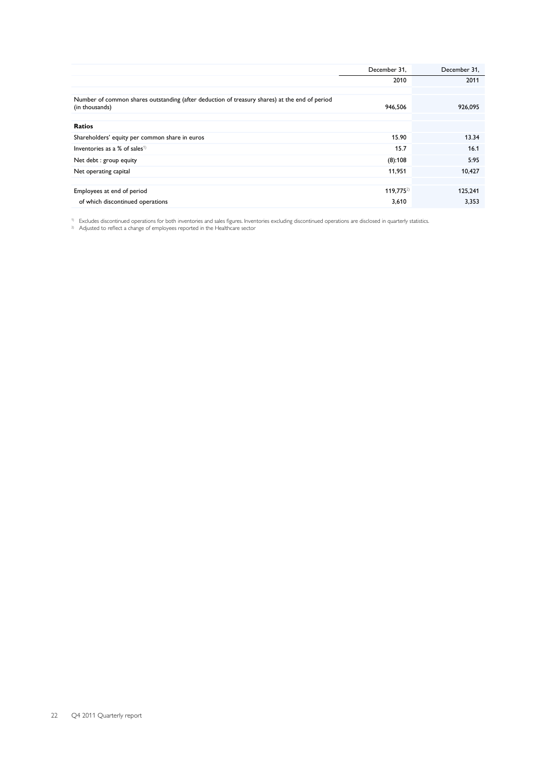|                                                                                                                 | December 31,          | December 31, |
|-----------------------------------------------------------------------------------------------------------------|-----------------------|--------------|
|                                                                                                                 | 2010                  | 2011         |
|                                                                                                                 |                       |              |
| Number of common shares outstanding (after deduction of treasury shares) at the end of period<br>(in thousands) | 946,506               | 926,095      |
| Ratios                                                                                                          |                       |              |
| Shareholders' equity per common share in euros                                                                  | 15.90                 | 13.34        |
| Inventories as a % of sales <sup>1)</sup>                                                                       | 15.7                  | 16.1         |
| Net debt : group equity                                                                                         | (8):108               | 5:95         |
| Net operating capital                                                                                           | 11,951                | 10,427       |
|                                                                                                                 |                       |              |
| Employees at end of period                                                                                      | 119,775 <sup>2)</sup> | 125.241      |
| of which discontinued operations                                                                                | 3,610                 | 3,353        |

<sup>1)</sup> Excludes discontinued operations for both inventories and sales figures. Inventories excluding discontinued operations are disclosed in quarterly statistics.

<sup>2)</sup> Adjusted to reflect a change of employees reported in the Healthcare sector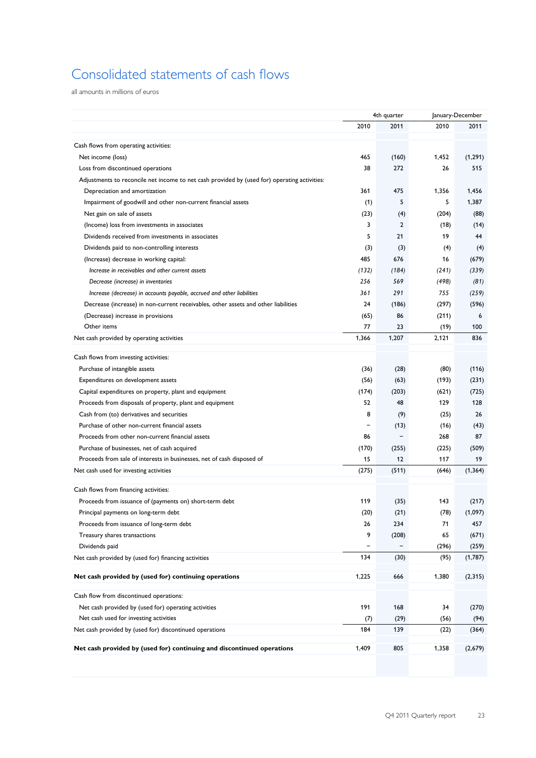# Consolidated statements of cash flows

all amounts in millions of euros

| 2010<br>2010<br>2011<br>2011<br>Cash flows from operating activities:<br>465<br>(160)<br>1,452<br>(1, 291)<br>Net income (loss)<br>272<br>515<br>Loss from discontinued operations<br>38<br>26<br>Adjustments to reconcile net income to net cash provided by (used for) operating activities:<br>Depreciation and amortization<br>361<br>475<br>1,356<br>1,456<br>5<br>5<br>Impairment of goodwill and other non-current financial assets<br>(1)<br>1,387<br>Net gain on sale of assets<br>(23)<br>(204)<br>(4)<br>(88)<br>3<br>$\overline{2}$<br>(Income) loss from investments in associates<br>(14)<br>(18)<br>5<br>21<br>19<br>44<br>Dividends received from investments in associates<br>Dividends paid to non-controlling interests<br>(3)<br>(3)<br>(4)<br>(4)<br>(Increase) decrease in working capital:<br>485<br>676<br>16<br>(679)<br>Increase in receivables and other current assets<br>(132)<br>(339)<br>(184)<br>(241)<br>256<br>569<br>(498)<br>Decrease (increase) in inventories<br>(81) |
|-------------------------------------------------------------------------------------------------------------------------------------------------------------------------------------------------------------------------------------------------------------------------------------------------------------------------------------------------------------------------------------------------------------------------------------------------------------------------------------------------------------------------------------------------------------------------------------------------------------------------------------------------------------------------------------------------------------------------------------------------------------------------------------------------------------------------------------------------------------------------------------------------------------------------------------------------------------------------------------------------------------|
|                                                                                                                                                                                                                                                                                                                                                                                                                                                                                                                                                                                                                                                                                                                                                                                                                                                                                                                                                                                                             |
|                                                                                                                                                                                                                                                                                                                                                                                                                                                                                                                                                                                                                                                                                                                                                                                                                                                                                                                                                                                                             |
|                                                                                                                                                                                                                                                                                                                                                                                                                                                                                                                                                                                                                                                                                                                                                                                                                                                                                                                                                                                                             |
|                                                                                                                                                                                                                                                                                                                                                                                                                                                                                                                                                                                                                                                                                                                                                                                                                                                                                                                                                                                                             |
|                                                                                                                                                                                                                                                                                                                                                                                                                                                                                                                                                                                                                                                                                                                                                                                                                                                                                                                                                                                                             |
|                                                                                                                                                                                                                                                                                                                                                                                                                                                                                                                                                                                                                                                                                                                                                                                                                                                                                                                                                                                                             |
|                                                                                                                                                                                                                                                                                                                                                                                                                                                                                                                                                                                                                                                                                                                                                                                                                                                                                                                                                                                                             |
|                                                                                                                                                                                                                                                                                                                                                                                                                                                                                                                                                                                                                                                                                                                                                                                                                                                                                                                                                                                                             |
|                                                                                                                                                                                                                                                                                                                                                                                                                                                                                                                                                                                                                                                                                                                                                                                                                                                                                                                                                                                                             |
|                                                                                                                                                                                                                                                                                                                                                                                                                                                                                                                                                                                                                                                                                                                                                                                                                                                                                                                                                                                                             |
|                                                                                                                                                                                                                                                                                                                                                                                                                                                                                                                                                                                                                                                                                                                                                                                                                                                                                                                                                                                                             |
|                                                                                                                                                                                                                                                                                                                                                                                                                                                                                                                                                                                                                                                                                                                                                                                                                                                                                                                                                                                                             |
|                                                                                                                                                                                                                                                                                                                                                                                                                                                                                                                                                                                                                                                                                                                                                                                                                                                                                                                                                                                                             |
|                                                                                                                                                                                                                                                                                                                                                                                                                                                                                                                                                                                                                                                                                                                                                                                                                                                                                                                                                                                                             |
|                                                                                                                                                                                                                                                                                                                                                                                                                                                                                                                                                                                                                                                                                                                                                                                                                                                                                                                                                                                                             |
| 291<br>755<br>Increase (decrease) in accounts payable, accrued and other liabilities<br>361<br>(259)                                                                                                                                                                                                                                                                                                                                                                                                                                                                                                                                                                                                                                                                                                                                                                                                                                                                                                        |
| Decrease (increase) in non-current receivables, other assets and other liabilities<br>24<br>(186)<br>(297)<br>(596)                                                                                                                                                                                                                                                                                                                                                                                                                                                                                                                                                                                                                                                                                                                                                                                                                                                                                         |
| (65)<br>86<br>(211)<br>(Decrease) increase in provisions<br>6                                                                                                                                                                                                                                                                                                                                                                                                                                                                                                                                                                                                                                                                                                                                                                                                                                                                                                                                               |
| Other items<br>77<br>23<br>(19)<br>100                                                                                                                                                                                                                                                                                                                                                                                                                                                                                                                                                                                                                                                                                                                                                                                                                                                                                                                                                                      |
| 1,366<br>1,207<br>836<br>2,121<br>Net cash provided by operating activities                                                                                                                                                                                                                                                                                                                                                                                                                                                                                                                                                                                                                                                                                                                                                                                                                                                                                                                                 |
| Cash flows from investing activities:                                                                                                                                                                                                                                                                                                                                                                                                                                                                                                                                                                                                                                                                                                                                                                                                                                                                                                                                                                       |
| Purchase of intangible assets                                                                                                                                                                                                                                                                                                                                                                                                                                                                                                                                                                                                                                                                                                                                                                                                                                                                                                                                                                               |
| (36)<br>(28)<br>(80)<br>(116)                                                                                                                                                                                                                                                                                                                                                                                                                                                                                                                                                                                                                                                                                                                                                                                                                                                                                                                                                                               |
| (231)<br>Expenditures on development assets<br>(56)<br>(63)<br>(193)                                                                                                                                                                                                                                                                                                                                                                                                                                                                                                                                                                                                                                                                                                                                                                                                                                                                                                                                        |
| Capital expenditures on property, plant and equipment<br>(174)<br>(725)<br>(203)<br>(621)                                                                                                                                                                                                                                                                                                                                                                                                                                                                                                                                                                                                                                                                                                                                                                                                                                                                                                                   |
| 52<br>128<br>Proceeds from disposals of property, plant and equipment<br>48<br>129                                                                                                                                                                                                                                                                                                                                                                                                                                                                                                                                                                                                                                                                                                                                                                                                                                                                                                                          |
| 8<br>Cash from (to) derivatives and securities<br>(25)<br>26<br>(9)                                                                                                                                                                                                                                                                                                                                                                                                                                                                                                                                                                                                                                                                                                                                                                                                                                                                                                                                         |
| Purchase of other non-current financial assets<br>(13)<br>(16)<br>(43)<br>$\qquad \qquad \blacksquare$                                                                                                                                                                                                                                                                                                                                                                                                                                                                                                                                                                                                                                                                                                                                                                                                                                                                                                      |
| $\qquad \qquad -$<br>87<br>Proceeds from other non-current financial assets<br>86<br>268                                                                                                                                                                                                                                                                                                                                                                                                                                                                                                                                                                                                                                                                                                                                                                                                                                                                                                                    |
| Purchase of businesses, net of cash acquired<br>(170)<br>(255)<br>(225)<br>(509)                                                                                                                                                                                                                                                                                                                                                                                                                                                                                                                                                                                                                                                                                                                                                                                                                                                                                                                            |
| 15<br>12<br>Proceeds from sale of interests in businesses, net of cash disposed of<br>117<br>19                                                                                                                                                                                                                                                                                                                                                                                                                                                                                                                                                                                                                                                                                                                                                                                                                                                                                                             |
| (275)<br>(511)<br>(1, 364)<br>Net cash used for investing activities<br>(646)                                                                                                                                                                                                                                                                                                                                                                                                                                                                                                                                                                                                                                                                                                                                                                                                                                                                                                                               |
| Cash flows from financing activities:                                                                                                                                                                                                                                                                                                                                                                                                                                                                                                                                                                                                                                                                                                                                                                                                                                                                                                                                                                       |
| 119<br>143<br>Proceeds from issuance of (payments on) short-term debt<br>(35)<br>(217)                                                                                                                                                                                                                                                                                                                                                                                                                                                                                                                                                                                                                                                                                                                                                                                                                                                                                                                      |
| (20)<br>(21)<br>(78)<br>(1,097)<br>Principal payments on long-term debt                                                                                                                                                                                                                                                                                                                                                                                                                                                                                                                                                                                                                                                                                                                                                                                                                                                                                                                                     |
| Proceeds from issuance of long-term debt<br>234<br>71<br>457<br>26                                                                                                                                                                                                                                                                                                                                                                                                                                                                                                                                                                                                                                                                                                                                                                                                                                                                                                                                          |
| 9<br>65<br>(208)<br>(671)<br>Treasury shares transactions                                                                                                                                                                                                                                                                                                                                                                                                                                                                                                                                                                                                                                                                                                                                                                                                                                                                                                                                                   |
| Dividends paid<br>(296)<br>(259)                                                                                                                                                                                                                                                                                                                                                                                                                                                                                                                                                                                                                                                                                                                                                                                                                                                                                                                                                                            |
| 134<br>(30)<br>(95)<br>(1,787)<br>Net cash provided by (used for) financing activities                                                                                                                                                                                                                                                                                                                                                                                                                                                                                                                                                                                                                                                                                                                                                                                                                                                                                                                      |
|                                                                                                                                                                                                                                                                                                                                                                                                                                                                                                                                                                                                                                                                                                                                                                                                                                                                                                                                                                                                             |
| 1,225<br>(2, 315)<br>Net cash provided by (used for) continuing operations<br>666<br>1,380                                                                                                                                                                                                                                                                                                                                                                                                                                                                                                                                                                                                                                                                                                                                                                                                                                                                                                                  |
| Cash flow from discontinued operations:                                                                                                                                                                                                                                                                                                                                                                                                                                                                                                                                                                                                                                                                                                                                                                                                                                                                                                                                                                     |
| 191<br>Net cash provided by (used for) operating activities<br>168<br>34<br>(270)                                                                                                                                                                                                                                                                                                                                                                                                                                                                                                                                                                                                                                                                                                                                                                                                                                                                                                                           |
| Net cash used for investing activities<br>(29)<br>(56)<br>(94)<br>(7)                                                                                                                                                                                                                                                                                                                                                                                                                                                                                                                                                                                                                                                                                                                                                                                                                                                                                                                                       |
| 184<br>Net cash provided by (used for) discontinued operations<br>139<br>(22)<br>(364)                                                                                                                                                                                                                                                                                                                                                                                                                                                                                                                                                                                                                                                                                                                                                                                                                                                                                                                      |
|                                                                                                                                                                                                                                                                                                                                                                                                                                                                                                                                                                                                                                                                                                                                                                                                                                                                                                                                                                                                             |
| 805<br>Net cash provided by (used for) continuing and discontinued operations<br>1,409<br>1,358<br>(2,679)                                                                                                                                                                                                                                                                                                                                                                                                                                                                                                                                                                                                                                                                                                                                                                                                                                                                                                  |
|                                                                                                                                                                                                                                                                                                                                                                                                                                                                                                                                                                                                                                                                                                                                                                                                                                                                                                                                                                                                             |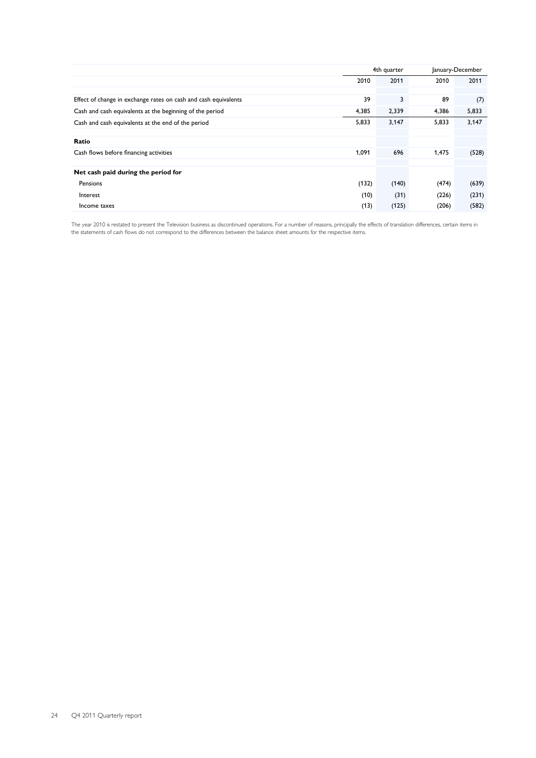|                                                                 |       | 4th quarter | January-December |       |  |
|-----------------------------------------------------------------|-------|-------------|------------------|-------|--|
|                                                                 | 2010  | 2011        | 2010             | 2011  |  |
|                                                                 |       |             |                  |       |  |
| Effect of change in exchange rates on cash and cash equivalents | 39    | 3           | 89               | (7)   |  |
| Cash and cash equivalents at the beginning of the period        | 4,385 | 2,339       | 4,386            | 5,833 |  |
| Cash and cash equivalents at the end of the period              | 5,833 | 3,147       | 5,833            | 3,147 |  |
|                                                                 |       |             |                  |       |  |
| Ratio                                                           |       |             |                  |       |  |
| Cash flows before financing activities                          | 1,091 | 696         | 1,475            | (528) |  |
|                                                                 |       |             |                  |       |  |
| Net cash paid during the period for                             |       |             |                  |       |  |
| Pensions                                                        | (132) | (140)       | (474)            | (639) |  |
| Interest                                                        | (10)  | (31)        | (226)            | (231) |  |
| Income taxes                                                    | (13)  | (125)       | (206)            | (582) |  |

The year 2010 is restated to present the Television business as discontinued operations. For a number of reasons, principally the effects of translation differences, certain items in the statements of cash flows do not correspond to the differences between the balance sheet amounts for the respective items.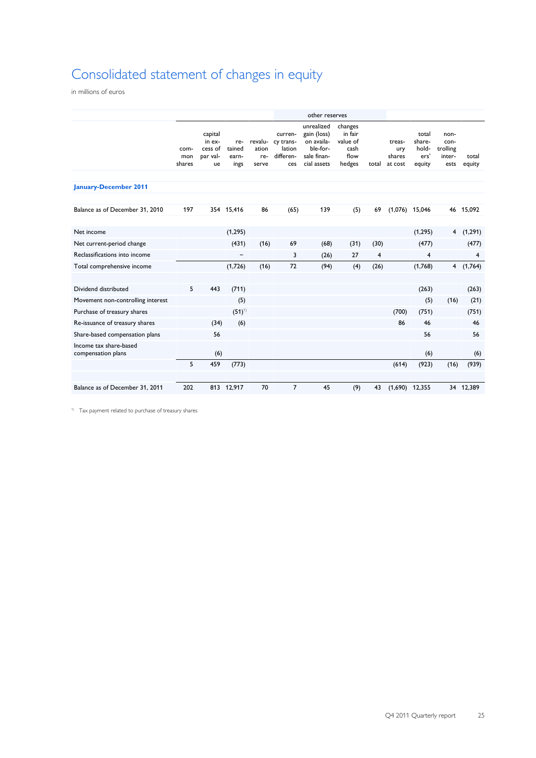# Consolidated statement of changes in equity

in millions of euros

|                                              |                       |                                                |                                |                                  |                                                    | other reserves                                                                    |                                                          |                |                                    |                                            |                                            |                 |
|----------------------------------------------|-----------------------|------------------------------------------------|--------------------------------|----------------------------------|----------------------------------------------------|-----------------------------------------------------------------------------------|----------------------------------------------------------|----------------|------------------------------------|--------------------------------------------|--------------------------------------------|-----------------|
|                                              | com-<br>mon<br>shares | capital<br>in ex-<br>cess of<br>par val-<br>ue | re-<br>tained<br>earn-<br>ings | revalu-<br>ation<br>re-<br>serve | curren-<br>cy trans-<br>lation<br>differen-<br>ces | unrealized<br>gain (loss)<br>on availa-<br>ble-for-<br>sale finan-<br>cial assets | changes<br>in fair<br>value of<br>cash<br>flow<br>hedges | total          | treas-<br>ury<br>shares<br>at cost | total<br>share-<br>hold-<br>ers'<br>equity | non-<br>con-<br>trolling<br>inter-<br>ests | total<br>equity |
| <b>January-December 2011</b>                 |                       |                                                |                                |                                  |                                                    |                                                                                   |                                                          |                |                                    |                                            |                                            |                 |
| Balance as of December 31, 2010              | 197                   |                                                | 354 15,416                     | 86                               | (65)                                               | 139                                                                               | (5)                                                      | 69             | $(1,076)$ 15,046                   |                                            |                                            | 46 15.092       |
|                                              |                       |                                                |                                |                                  |                                                    |                                                                                   |                                                          |                |                                    |                                            |                                            |                 |
| Net income                                   |                       |                                                | (1, 295)                       |                                  |                                                    |                                                                                   |                                                          |                |                                    | (1, 295)                                   | 4                                          | (1, 291)        |
| Net current-period change                    |                       |                                                | (431)                          | (16)                             | 69                                                 | (68)                                                                              | (31)                                                     | (30)           |                                    | (477)                                      |                                            | (477)           |
| Reclassifications into income                |                       |                                                | ۰                              |                                  | 3                                                  | (26)                                                                              | 27                                                       | $\overline{4}$ |                                    | 4                                          |                                            | 4               |
| Total comprehensive income                   |                       |                                                | (1,726)                        | (16)                             | 72                                                 | (94)                                                                              | (4)                                                      | (26)           |                                    | (1,768)                                    | $\overline{4}$                             | (1,764)         |
|                                              |                       |                                                |                                |                                  |                                                    |                                                                                   |                                                          |                |                                    |                                            |                                            |                 |
| Dividend distributed                         | 5                     | 443                                            | (711)                          |                                  |                                                    |                                                                                   |                                                          |                |                                    | (263)                                      |                                            | (263)           |
| Movement non-controlling interest            |                       |                                                | (5)                            |                                  |                                                    |                                                                                   |                                                          |                |                                    | (5)                                        | (16)                                       | (21)            |
| Purchase of treasury shares                  |                       |                                                | $(51)^{1}$                     |                                  |                                                    |                                                                                   |                                                          |                | (700)                              | (751)                                      |                                            | (751)           |
| Re-issuance of treasury shares               |                       | (34)                                           | (6)                            |                                  |                                                    |                                                                                   |                                                          |                | 86                                 | 46                                         |                                            | 46              |
| Share-based compensation plans               |                       | 56                                             |                                |                                  |                                                    |                                                                                   |                                                          |                |                                    | 56                                         |                                            | 56              |
| Income tax share-based<br>compensation plans |                       | (6)                                            |                                |                                  |                                                    |                                                                                   |                                                          |                |                                    | (6)                                        |                                            | (6)             |
|                                              | 5                     | 459                                            | (773)                          |                                  |                                                    |                                                                                   |                                                          |                | (614)                              | (923)                                      | (16)                                       | (939)           |
|                                              |                       |                                                |                                |                                  |                                                    |                                                                                   |                                                          |                |                                    |                                            |                                            |                 |
| Balance as of December 31, 2011              | 202                   |                                                | 813 12,917                     | 70                               | 7                                                  | 45                                                                                | (9)                                                      | 43             | $(1,690)$ 12,355                   |                                            |                                            | 34 12,389       |

1) Tax payment related to purchase of treasury shares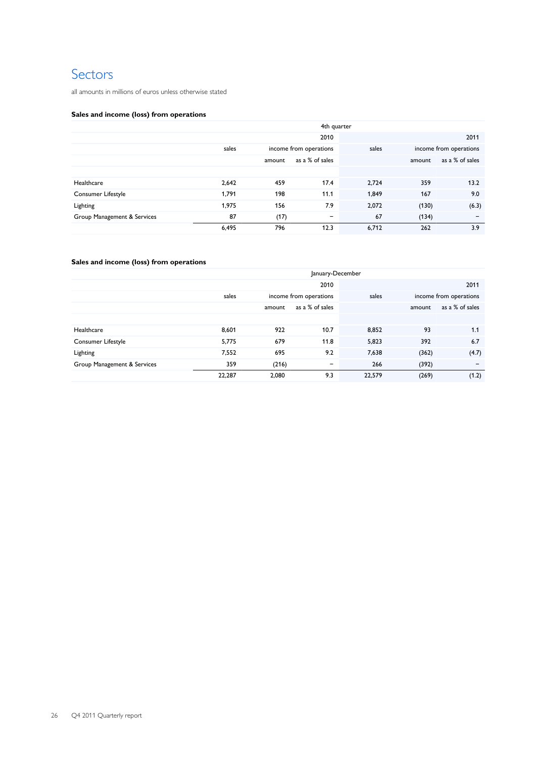# Sectors

all amounts in millions of euros unless otherwise stated

# **Sales and income (loss) from operations**

|                             | 4th quarter |        |                        |       |        |                        |  |  |  |
|-----------------------------|-------------|--------|------------------------|-------|--------|------------------------|--|--|--|
|                             |             |        | 2010                   |       |        | 2011                   |  |  |  |
|                             | sales       |        | income from operations |       |        | income from operations |  |  |  |
|                             |             | amount | as a % of sales        |       | amount | as a % of sales        |  |  |  |
|                             |             |        |                        |       |        |                        |  |  |  |
| Healthcare                  | 2,642       | 459    | 17.4                   | 2.724 | 359    | 13.2                   |  |  |  |
| Consumer Lifestyle          | 1,791       | 198    | 11.1                   | 1,849 | 167    | 9.0                    |  |  |  |
| Lighting                    | 1,975       | 156    | 7.9                    | 2,072 | (130)  | (6.3)                  |  |  |  |
| Group Management & Services | 87          | (17)   | $\qquad \qquad$        | 67    | (134)  |                        |  |  |  |
|                             | 6,495       | 796    | 12.3                   | 6,712 | 262    | 3.9                    |  |  |  |

# **Sales and income (loss) from operations**

|                             | January-December |        |                              |        |        |                          |  |  |
|-----------------------------|------------------|--------|------------------------------|--------|--------|--------------------------|--|--|
|                             |                  |        | 2010                         |        |        | 2011                     |  |  |
|                             | sales            |        | income from operations       |        |        | income from operations   |  |  |
|                             |                  | amount | as a % of sales              |        | amount | as a % of sales          |  |  |
|                             |                  |        |                              |        |        |                          |  |  |
| Healthcare                  | 8,601            | 922    | 10.7                         | 8,852  | 93     | 1.1                      |  |  |
| Consumer Lifestyle          | 5,775            | 679    | 11.8                         | 5,823  | 392    | 6.7                      |  |  |
| Lighting                    | 7,552            | 695    | 9.2                          | 7,638  | (362)  | (4.7)                    |  |  |
| Group Management & Services | 359              | (216)  | $\qquad \qquad \blacksquare$ | 266    | (392)  | $\overline{\phantom{0}}$ |  |  |
|                             | 22,287           | 2,080  | 9.3                          | 22,579 | (269)  | (1.2)                    |  |  |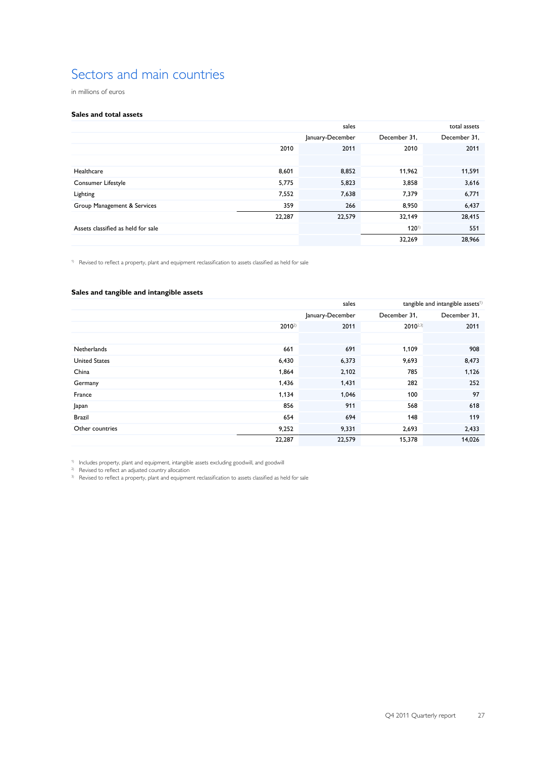# Sectors and main countries

in millions of euros

### **Sales and total assets**

|                                    |        | total assets     |              |              |
|------------------------------------|--------|------------------|--------------|--------------|
|                                    |        | January-December | December 31, | December 31, |
|                                    | 2010   | 2011             | 2010         | 2011         |
|                                    |        |                  |              |              |
| Healthcare                         | 8,601  | 8,852            | 11,962       | 11,591       |
| Consumer Lifestyle                 | 5,775  | 5,823            | 3,858        | 3,616        |
| Lighting                           | 7,552  | 7,638            | 7,379        | 6,771        |
| Group Management & Services        | 359    | 266              | 8,950        | 6,437        |
|                                    | 22,287 | 22,579           | 32,149       | 28,415       |
| Assets classified as held for sale |        |                  | $120^{1}$    | 551          |
|                                    |        |                  | 32,269       | 28,966       |

<sup>1)</sup> Revised to reflect a property, plant and equipment reclassification to assets classified as held for sale

### **Sales and tangible and intangible assets**

|                      |            | sales<br>tangible and intangible assets <sup>1)</sup> |              |              |  |  |
|----------------------|------------|-------------------------------------------------------|--------------|--------------|--|--|
|                      |            | January-December                                      | December 31, | December 31, |  |  |
|                      | $2010^{2}$ | 2011                                                  | $2010^{2.3}$ | 2011         |  |  |
|                      |            |                                                       |              |              |  |  |
| Netherlands          | 661        | 691                                                   | 1,109        | 908          |  |  |
| <b>United States</b> | 6,430      | 6,373                                                 | 9,693        | 8,473        |  |  |
| China                | 1,864      | 2,102                                                 | 785          | 1,126        |  |  |
| Germany              | 1,436      | 1,431                                                 | 282          | 252          |  |  |
| France               | 1,134      | 1,046                                                 | 100          | 97           |  |  |
| Japan                | 856        | 911                                                   | 568          | 618          |  |  |
| <b>Brazil</b>        | 654        | 694                                                   | 148          | 119          |  |  |
| Other countries      | 9,252      | 9,331                                                 | 2,693        | 2,433        |  |  |
|                      | 22,287     | 22,579                                                | 15,378       | 14,026       |  |  |

1) Includes property, plant and equipment, intangible assets excluding goodwill, and goodwill

<sup>2)</sup> Revised to reflect an adjusted country allocation

<sup>&</sup>lt;sup>3)</sup> Revised to reflect a property, plant and equipment reclassification to assets classified as held for sale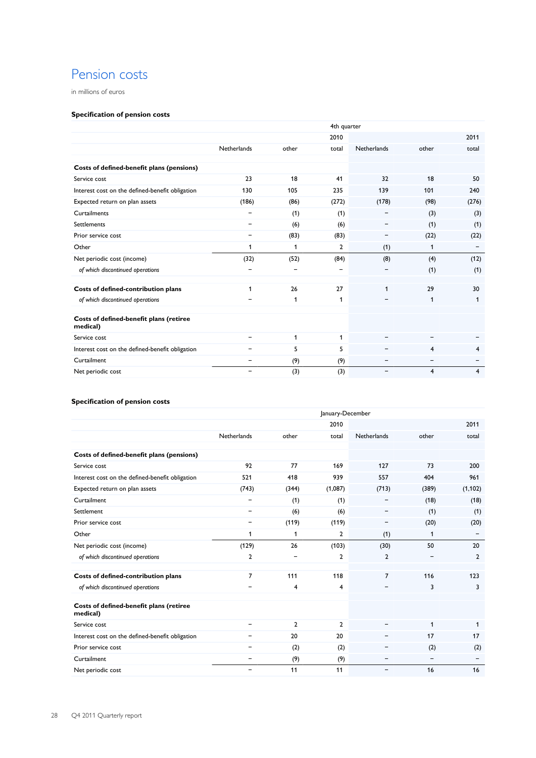# Pension costs

in millions of euros

# **Specification of pension costs**

|                                                     | 4th quarter              |       |                |             |                |                |  |  |  |
|-----------------------------------------------------|--------------------------|-------|----------------|-------------|----------------|----------------|--|--|--|
|                                                     |                          |       | 2010           |             |                | 2011           |  |  |  |
|                                                     | Netherlands              | other | total          | Netherlands | other          | total          |  |  |  |
|                                                     |                          |       |                |             |                |                |  |  |  |
| Costs of defined-benefit plans (pensions)           |                          |       |                |             |                |                |  |  |  |
| Service cost                                        | 23                       | 18    | 41             | 32          | 18             | 50             |  |  |  |
| Interest cost on the defined-benefit obligation     | 130                      | 105   | 235            | 139         | 101            | 240            |  |  |  |
| Expected return on plan assets                      | (186)                    | (86)  | (272)          | (178)       | (98)           | (276)          |  |  |  |
| Curtailments                                        | -                        | (1)   | (1)            |             | (3)            | (3)            |  |  |  |
| <b>Settlements</b>                                  | $\overline{\phantom{0}}$ | (6)   | (6)            |             | (1)            | (1)            |  |  |  |
| Prior service cost                                  | $\overline{\phantom{a}}$ | (83)  | (83)           |             | (22)           | (22)           |  |  |  |
| Other                                               | 1                        | 1     | $\overline{2}$ | (1)         | 1              | -              |  |  |  |
| Net periodic cost (income)                          | (32)                     | (52)  | (84)           | (8)         | (4)            | (12)           |  |  |  |
| of which discontinued operations                    |                          |       |                |             | (1)            | (1)            |  |  |  |
|                                                     |                          |       |                |             |                |                |  |  |  |
| Costs of defined-contribution plans                 | 1                        | 26    | 27             |             | 29             | 30             |  |  |  |
| of which discontinued operations                    |                          | 1     | 1              |             | $\mathbf{1}$   | 1              |  |  |  |
|                                                     |                          |       |                |             |                |                |  |  |  |
| Costs of defined-benefit plans (retiree<br>medical) |                          |       |                |             |                |                |  |  |  |
| Service cost                                        | -                        | 1     | 1              |             |                |                |  |  |  |
| Interest cost on the defined-benefit obligation     |                          | 5     | 5              |             | $\overline{4}$ | $\overline{4}$ |  |  |  |
| Curtailment                                         | -                        | (9)   | (9)            |             |                |                |  |  |  |
| Net periodic cost                                   |                          | (3)   | (3)            |             | 4              | 4              |  |  |  |

# **Specification of pension costs**

|                                                     | January-December             |                |                |                              |       |                |  |  |  |
|-----------------------------------------------------|------------------------------|----------------|----------------|------------------------------|-------|----------------|--|--|--|
|                                                     |                              |                | 2010           |                              |       | 2011           |  |  |  |
|                                                     | Netherlands                  | other          | total          | Netherlands                  | other | total          |  |  |  |
| Costs of defined-benefit plans (pensions)           |                              |                |                |                              |       |                |  |  |  |
| Service cost                                        | 92                           | 77             | 169            | 127                          | 73    | 200            |  |  |  |
| Interest cost on the defined-benefit obligation     | 521                          | 418            | 939            | 557                          | 404   | 961            |  |  |  |
| Expected return on plan assets                      | (743)                        | (344)          | (1,087)        | (713)                        | (389) | (1, 102)       |  |  |  |
| Curtailment                                         | -                            | (1)            | (1)            |                              | (18)  | (18)           |  |  |  |
| Settlement                                          | $\qquad \qquad \blacksquare$ | (6)            | (6)            |                              | (1)   | (1)            |  |  |  |
| Prior service cost                                  | $\qquad \qquad \blacksquare$ | (119)          | (119)          | -                            | (20)  | (20)           |  |  |  |
| Other                                               | 1                            | 1              | $\overline{2}$ | (1)                          | 1     |                |  |  |  |
| Net periodic cost (income)                          | (129)                        | 26             | (103)          | (30)                         | 50    | 20             |  |  |  |
| of which discontinued operations                    | $\overline{2}$               |                | 2              | $\overline{2}$               |       | $\overline{2}$ |  |  |  |
| Costs of defined-contribution plans                 | $\overline{7}$               | 111            | 118            | $\overline{7}$               | 116   | 123            |  |  |  |
| of which discontinued operations                    | $\overline{\phantom{0}}$     | $\overline{4}$ | 4              |                              | 3     | 3              |  |  |  |
| Costs of defined-benefit plans (retiree<br>medical) |                              |                |                |                              |       |                |  |  |  |
| Service cost                                        | $\overline{\phantom{a}}$     | $\overline{2}$ | $\mathbf{2}$   |                              | 1     | 1              |  |  |  |
| Interest cost on the defined-benefit obligation     | $\overline{\phantom{0}}$     | 20             | 20             |                              | 17    | 17             |  |  |  |
| Prior service cost                                  | -                            | (2)            | (2)            |                              | (2)   | (2)            |  |  |  |
| Curtailment                                         | $\overline{\phantom{a}}$     | (9)            | (9)            | -                            | ۰     |                |  |  |  |
| Net periodic cost                                   | $\qquad \qquad \blacksquare$ | 11             | 11             | $\qquad \qquad \blacksquare$ | 16    | 16             |  |  |  |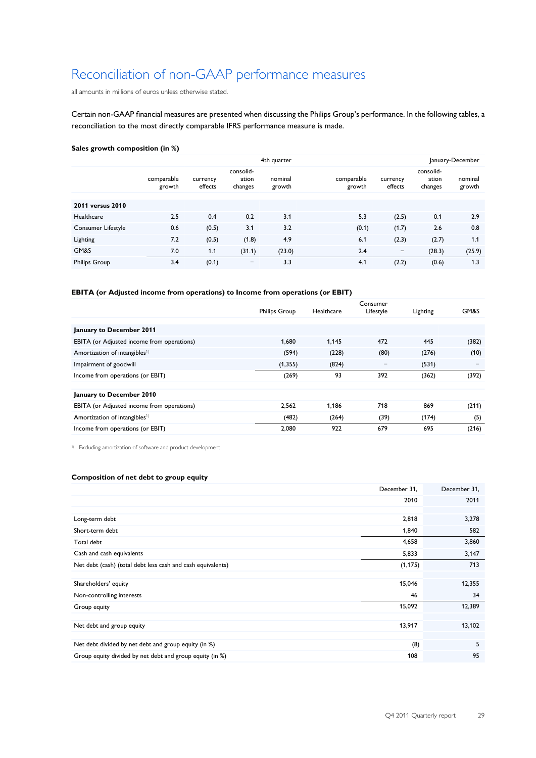# Reconciliation of non-GAAP performance measures

all amounts in millions of euros unless otherwise stated.

Certain non-GAAP financial measures are presented when discussing the Philips Group's performance. In the following tables, a reconciliation to the most directly comparable IFRS performance measure is made.

### **Sales growth composition (in %)**

| 4th quarter          |                      |                     |                               |                   |                      |                          |                               | January-December  |
|----------------------|----------------------|---------------------|-------------------------------|-------------------|----------------------|--------------------------|-------------------------------|-------------------|
|                      | comparable<br>growth | currency<br>effects | consolid-<br>ation<br>changes | nominal<br>growth | comparable<br>growth | currency<br>effects      | consolid-<br>ation<br>changes | nominal<br>growth |
| 2011 versus 2010     |                      |                     |                               |                   |                      |                          |                               |                   |
| Healthcare           | 2.5                  | 0.4                 | 0.2                           | 3.1               | 5.3                  | (2.5)                    | 0.1                           | 2.9               |
| Consumer Lifestyle   | 0.6                  | (0.5)               | 3.1                           | 3.2               | (0.1)                | (1.7)                    | 2.6                           | 0.8               |
| Lighting             | 7.2                  | (0.5)               | (1.8)                         | 4.9               | 6.1                  | (2.3)                    | (2.7)                         | 1.1               |
| GM&S                 | 7.0                  | 1.1                 | (31.1)                        | (23.0)            | 2.4                  | $\overline{\phantom{0}}$ | (28.3)                        | (25.9)            |
| <b>Philips Group</b> | 3.4                  | (0.1)               | $\qquad \qquad \blacksquare$  | 3.3               | 4.1                  | (2.2)                    | (0.6)                         | 1.3               |

## **EBITA (or Adjusted income from operations) to Income from operations (or EBIT)**

| <b>Philips Group</b> | Healthcare | Consumer<br>Lifestyle | Lighting | GM&S  |
|----------------------|------------|-----------------------|----------|-------|
|                      |            |                       |          |       |
|                      |            |                       |          |       |
| 1.680                | 1.145      | 472                   | 445      | (382) |
| (594)                | (228)      | (80)                  | (276)    | (10)  |
| (1, 355)             | (824)      |                       | (531)    | -     |
| (269)                | 93         | 392                   | (362)    | (392) |
|                      |            |                       |          |       |
|                      |            |                       |          |       |
| 2.562                | 1.186      | 718                   | 869      | (211) |
| (482)                | (264)      | (39)                  | (174)    | (5)   |
| 2,080                | 922        | 679                   | 695      | (216) |
|                      |            |                       |          |       |

1) Excluding amortization of software and product development

## **Composition of net debt to group equity**

|                                                             | December 31, | December 31, |
|-------------------------------------------------------------|--------------|--------------|
|                                                             | 2010         | 2011         |
|                                                             |              |              |
| Long-term debt                                              | 2,818        | 3,278        |
| Short-term debt                                             | 1,840        | 582          |
| Total debt                                                  | 4,658        | 3,860        |
| Cash and cash equivalents                                   | 5,833        | 3,147        |
| Net debt (cash) (total debt less cash and cash equivalents) | (1, 175)     | 713          |
|                                                             |              |              |
| Shareholders' equity                                        | 15,046       | 12,355       |
| Non-controlling interests                                   | 46           | 34           |
| Group equity                                                | 15,092       | 12,389       |
|                                                             |              |              |
| Net debt and group equity                                   | 13,917       | 13,102       |
|                                                             |              |              |
| Net debt divided by net debt and group equity (in %)        | (8)          | 5            |
| Group equity divided by net debt and group equity (in %)    | 108          | 95           |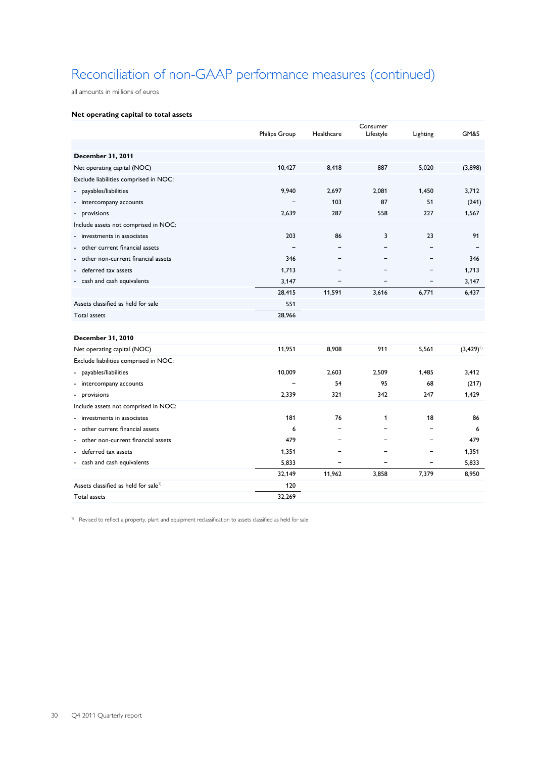# Reconciliation of non-GAAP performance measures (continued)

all amounts in millions of euros

## **Net operating capital to total assets**

|                                                  | <b>Philips Group</b> | Healthcare | Consumer<br>Lifestyle | Lighting                 | GM&S          |
|--------------------------------------------------|----------------------|------------|-----------------------|--------------------------|---------------|
|                                                  |                      |            |                       |                          |               |
| <b>December 31, 2011</b>                         |                      |            |                       |                          |               |
| Net operating capital (NOC)                      | 10,427               | 8,418      | 887                   | 5,020                    | (3,898)       |
|                                                  |                      |            |                       |                          |               |
| Exclude liabilities comprised in NOC:            |                      |            |                       |                          |               |
| - payables/liabilities                           | 9,940                | 2,697      | 2.081                 | 1.450                    | 3.712         |
| - intercompany accounts                          |                      | 103        | 87                    | 51                       | (241)         |
| - provisions                                     | 2,639                | 287        | 558                   | 227                      | 1,567         |
| Include assets not comprised in NOC:             |                      |            |                       |                          |               |
| investments in associates<br>$\overline{a}$      | 203                  | 86         | 3                     | 23                       | 91            |
| - other current financial assets                 |                      |            |                       |                          |               |
| - other non-current financial assets             | 346                  |            |                       | $\overline{\phantom{0}}$ | 346           |
| deferred tax assets<br>$\overline{\phantom{a}}$  | 1.713                |            |                       | -                        | 1.713         |
| cash and cash equivalents                        | 3,147                |            |                       |                          | 3.147         |
|                                                  | 28,415               | 11,591     | 3,616                 | 6,771                    | 6,437         |
| Assets classified as held for sale               | 551                  |            |                       |                          |               |
| Total assets                                     | 28,966               |            |                       |                          |               |
|                                                  |                      |            |                       |                          |               |
| <b>December 31, 2010</b>                         |                      |            |                       |                          |               |
| Net operating capital (NOC)                      | 11,951               | 8,908      | 911                   | 5,561                    | $(3,429)^{1}$ |
| Exclude liabilities comprised in NOC:            |                      |            |                       |                          |               |
| - payables/liabilities                           | 10,009               | 2,603      | 2,509                 | 1,485                    | 3,412         |
| - intercompany accounts                          |                      | 54         | 95                    | 68                       | (217)         |
| - provisions                                     | 2,339                | 321        | 342                   | 247                      | 1,429         |
| Include assets not comprised in NOC:             |                      |            |                       |                          |               |
| investments in associates<br>٠                   | 181                  | 76         | 1                     | 18                       | 86            |
| - other current financial assets                 | 6                    |            |                       | $\equiv$                 | 6             |
| - other non-current financial assets             | 479                  |            |                       | $\equiv$                 | 479           |
| - deferred tax assets                            | 1,351                |            |                       | $\overline{\phantom{0}}$ | 1,351         |
| - cash and cash equivalents                      | 5,833                |            |                       | $\overline{\phantom{0}}$ | 5,833         |
|                                                  | 32,149               | 11,962     | 3,858                 | 7,379                    | 8,950         |
| Assets classified as held for sale <sup>1)</sup> | 120                  |            |                       |                          |               |
| <b>Total assets</b>                              | 32,269               |            |                       |                          |               |
|                                                  |                      |            |                       |                          |               |

1) Revised to reflect a property, plant and equipment reclassification to assets classified as held for sale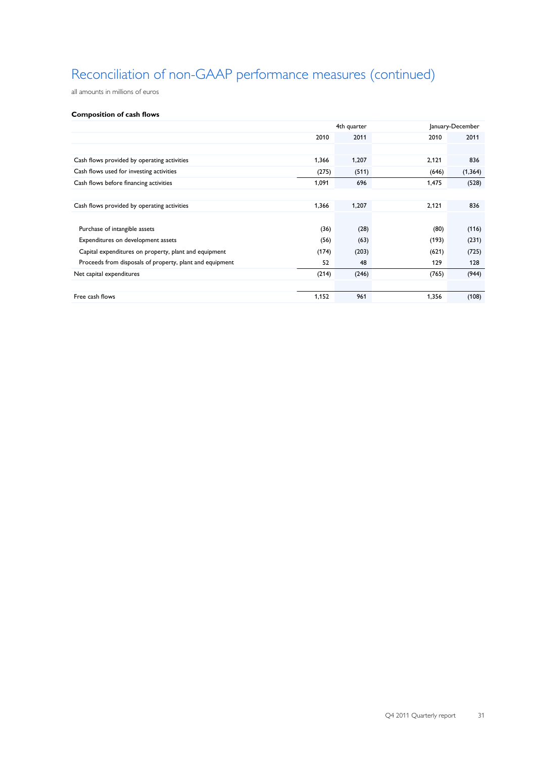# Reconciliation of non-GAAP performance measures (continued)

all amounts in millions of euros

### **Composition of cash flows**

|                                                          | 4th quarter |       |       | January-December |
|----------------------------------------------------------|-------------|-------|-------|------------------|
|                                                          | 2010        | 2011  | 2010  | 2011             |
|                                                          |             |       |       |                  |
| Cash flows provided by operating activities              | 1,366       | 1,207 | 2,121 | 836              |
| Cash flows used for investing activities                 | (275)       | (511) | (646) | (1, 364)         |
| Cash flows before financing activities                   | 1,091       | 696   | 1,475 | (528)            |
|                                                          |             |       |       |                  |
| Cash flows provided by operating activities              | 1,366       | 1,207 | 2,121 | 836              |
|                                                          |             |       |       |                  |
| Purchase of intangible assets                            | (36)        | (28)  | (80)  | (116)            |
| Expenditures on development assets                       | (56)        | (63)  | (193) | (231)            |
| Capital expenditures on property, plant and equipment    | (174)       | (203) | (621) | (725)            |
| Proceeds from disposals of property, plant and equipment | 52          | 48    | 129   | 128              |
| Net capital expenditures                                 | (214)       | (246) | (765) | (944)            |
|                                                          |             |       |       |                  |
| Free cash flows                                          | 1,152       | 961   | 1,356 | (108)            |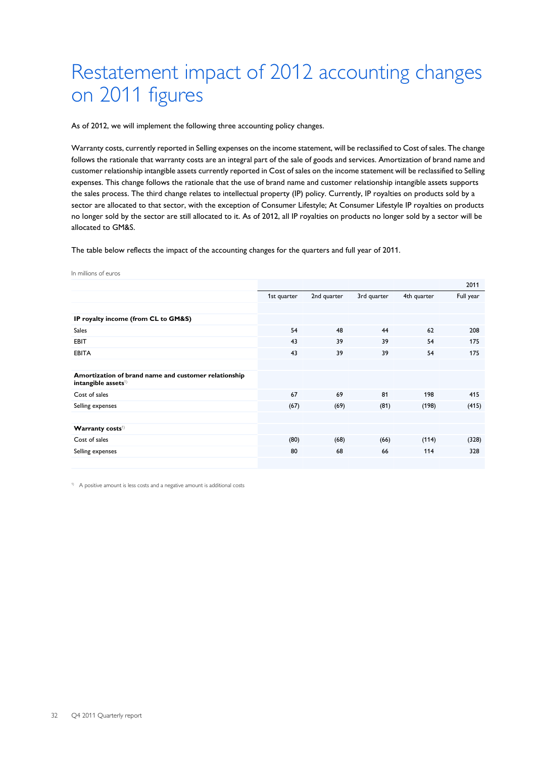# Restatement impact of 2012 accounting changes on 2011 figures

As of 2012, we will implement the following three accounting policy changes.

Warranty costs, currently reported in Selling expenses on the income statement, will be reclassified to Cost of sales. The change follows the rationale that warranty costs are an integral part of the sale of goods and services. Amortization of brand name and customer relationship intangible assets currently reported in Cost of sales on the income statement will be reclassified to Selling expenses. This change follows the rationale that the use of brand name and customer relationship intangible assets supports the sales process. The third change relates to intellectual property (IP) policy. Currently, IP royalties on products sold by a sector are allocated to that sector, with the exception of Consumer Lifestyle; At Consumer Lifestyle IP royalties on products no longer sold by the sector are still allocated to it. As of 2012, all IP royalties on products no longer sold by a sector will be allocated to GM&S.

The table below reflects the impact of the accounting changes for the quarters and full year of 2011.

| In millions of euros |
|----------------------|
|----------------------|

|                                                                                         |             |             |             |             | 2011      |
|-----------------------------------------------------------------------------------------|-------------|-------------|-------------|-------------|-----------|
|                                                                                         | 1st quarter | 2nd quarter | 3rd quarter | 4th quarter | Full year |
|                                                                                         |             |             |             |             |           |
| IP royalty income (from CL to GM&S)                                                     |             |             |             |             |           |
| <b>Sales</b>                                                                            | 54          | 48          | 44          | 62          | 208       |
| EBIT                                                                                    | 43          | 39          | 39          | 54          | 175       |
| <b>EBITA</b>                                                                            | 43          | 39          | 39          | 54          | 175       |
|                                                                                         |             |             |             |             |           |
| Amortization of brand name and customer relationship<br>intangible assets <sup>1)</sup> |             |             |             |             |           |
| Cost of sales                                                                           | 67          | 69          | 81          | 198         | 415       |
| Selling expenses                                                                        | (67)        | (69)        | (81)        | (198)       | (415)     |
|                                                                                         |             |             |             |             |           |
| Warranty costs <sup>1)</sup>                                                            |             |             |             |             |           |
| Cost of sales                                                                           | (80)        | (68)        | (66)        | (114)       | (328)     |
| Selling expenses                                                                        | 80          | 68          | 66          | 114         | 328       |
|                                                                                         |             |             |             |             |           |

<sup>1)</sup> A positive amount is less costs and a negative amount is additional costs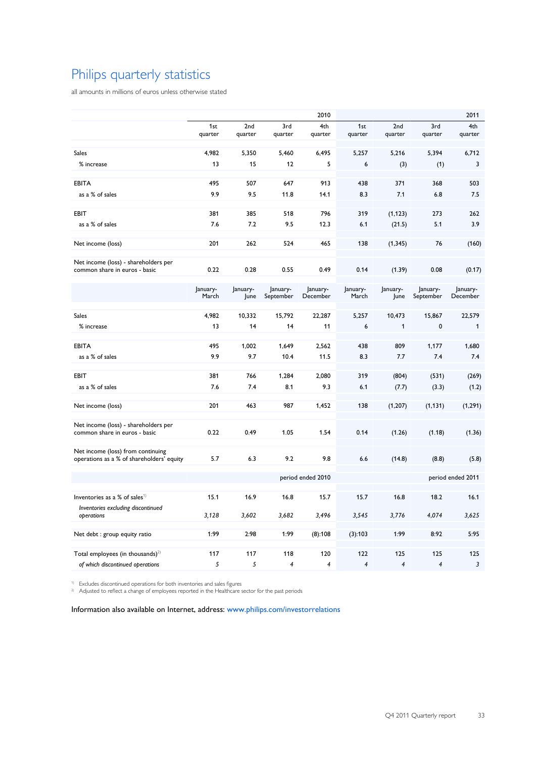# Philips quarterly statistics

all amounts in millions of euros unless otherwise stated

|                                                                                 |                   |          |                | 2010     |                          |                |                   | 2011         |
|---------------------------------------------------------------------------------|-------------------|----------|----------------|----------|--------------------------|----------------|-------------------|--------------|
|                                                                                 | 1 <sub>st</sub>   | 2nd      | 3rd            | 4th      | 1st                      | 2nd            | 3rd               | 4th          |
|                                                                                 | quarter           | quarter  | quarter        | quarter  | quarter                  | quarter        | quarter           | quarter      |
| <b>Sales</b>                                                                    | 4,982             | 5,350    | 5,460          | 6,495    | 5,257                    | 5,216          | 5,394             | 6,712        |
| % increase                                                                      | 13                | 15       | 12             | 5        | 6                        | (3)            | (1)               | 3            |
| <b>EBITA</b>                                                                    | 495               | 507      | 647            | 913      | 438                      | 371            | 368               | 503          |
| as a % of sales                                                                 | 9.9               | 9.5      | 11.8           | 14.1     | 8.3                      | 7.1            | 6.8               | 7.5          |
| <b>EBIT</b>                                                                     | 381               | 385      | 518            | 796      | 319                      | (1, 123)       | 273               | 262          |
| as a % of sales                                                                 | 7.6               | 7.2      | 9.5            | 12.3     | 6.1                      | (21.5)         | 5.1               | 3.9          |
| Net income (loss)                                                               | 201               | 262      | 524            | 465      | 138                      | (1, 345)       | 76                | (160)        |
| Net income (loss) - shareholders per<br>common share in euros - basic           | 0.22              | 0.28     | 0.55           | 0.49     | 0.14                     | (1.39)         | 0.08              | (0.17)       |
|                                                                                 | January-          | January- | January-       | January- | January-                 | January-       | January-          | January-     |
|                                                                                 | March             | June     | September      | December | March                    | June           | September         | December     |
| <b>Sales</b>                                                                    | 4.982             | 10,332   | 15,792         | 22.287   | 5,257                    | 10,473         | 15,867            | 22,579       |
| % increase                                                                      | 13                | 14       | 14             | 11       | 6                        | 1              | 0                 | $\mathbf{1}$ |
| <b>EBITA</b>                                                                    | 495               | 1,002    | 1,649          | 2,562    | 438                      | 809            | 1,177             | 1,680        |
| as a % of sales                                                                 | 9.9               | 9.7      | 10.4           | 11.5     | 8.3                      | 7.7            | 7.4               | 7.4          |
| EBIT                                                                            | 381               | 766      | 1,284          | 2,080    | 319                      | (804)          | (531)             | (269)        |
| as a % of sales                                                                 | 7.6               | 7.4      | 8.1            | 9.3      | 6.1                      | (7.7)          | (3.3)             | (1.2)        |
| Net income (loss)                                                               | 201               | 463      | 987            | 1,452    | 138                      | (1, 207)       | (1, 131)          | (1, 291)     |
| Net income (loss) - shareholders per<br>common share in euros - basic           | 0.22              | 0.49     | 1.05           | 1.54     | 0.14                     | (1.26)         | (1.18)            | (1.36)       |
| Net income (loss) from continuing<br>operations as a % of shareholders' equity  | 5.7               | 6.3      | 9.2            | 9.8      | 6.6                      | (14.8)         | (8.8)             | (5.8)        |
|                                                                                 | period ended 2010 |          |                |          |                          |                | period ended 2011 |              |
| Inventories as a % of sales <sup>1)</sup><br>Inventories excluding discontinued | 15.1              | 16.9     | 16.8           | 15.7     | 15.7                     | 16.8           | 18.2              | 16.1         |
| operations                                                                      | 3,128             | 3,602    | 3,682          | 3,496    | 3,545                    | 3,776          | 4,074             | 3,625        |
| Net debt : group equity ratio                                                   | 1:99              | 2:98     | 1:99           | (8):108  | (3):103                  | 1:99           | 8:92              | 5:95         |
|                                                                                 |                   |          |                |          |                          |                |                   |              |
| Total employees (in thousands) $^{2)}$                                          | 117               | 117      | 118            | 120      | 122                      | 125            | 125               | 125          |
| of which discontinued operations                                                | 5                 | 5        | $\overline{4}$ | 4        | $\overline{\mathcal{A}}$ | $\overline{4}$ | 4                 | 3            |

<sup>1)</sup> Excludes discontinued operations for both inventories and sales figures

<sup>2)</sup> Adjusted to reflect a change of employees reported in the Healthcare sector for the past periods

Information also available on Internet, address: [www.philips.com/investorrelations](http://www.philips.com/investor)